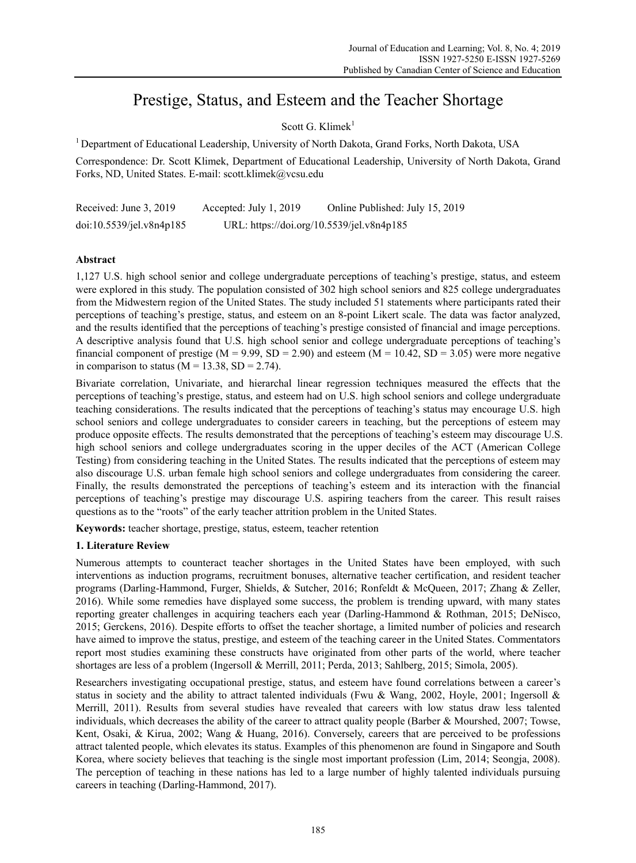# Prestige, Status, and Esteem and the Teacher Shortage

Scott G. Klimek $1$ 

1 Department of Educational Leadership, University of North Dakota, Grand Forks, North Dakota, USA

Correspondence: Dr. Scott Klimek, Department of Educational Leadership, University of North Dakota, Grand Forks, ND, United States. E-mail: scott.klimek@vcsu.edu

| Received: June 3, 2019   | Accepted: July 1, 2019                    | Online Published: July 15, 2019 |
|--------------------------|-------------------------------------------|---------------------------------|
| doi:10.5539/jel.v8n4p185 | URL: https://doi.org/10.5539/jel.v8n4p185 |                                 |

# **Abstract**

1,127 U.S. high school senior and college undergraduate perceptions of teaching's prestige, status, and esteem were explored in this study. The population consisted of 302 high school seniors and 825 college undergraduates from the Midwestern region of the United States. The study included 51 statements where participants rated their perceptions of teaching's prestige, status, and esteem on an 8-point Likert scale. The data was factor analyzed, and the results identified that the perceptions of teaching's prestige consisted of financial and image perceptions. A descriptive analysis found that U.S. high school senior and college undergraduate perceptions of teaching's financial component of prestige (M = 9.99, SD = 2.90) and esteem (M = 10.42, SD = 3.05) were more negative in comparison to status ( $M = 13.38$ , SD = 2.74).

Bivariate correlation, Univariate, and hierarchal linear regression techniques measured the effects that the perceptions of teaching's prestige, status, and esteem had on U.S. high school seniors and college undergraduate teaching considerations. The results indicated that the perceptions of teaching's status may encourage U.S. high school seniors and college undergraduates to consider careers in teaching, but the perceptions of esteem may produce opposite effects. The results demonstrated that the perceptions of teaching's esteem may discourage U.S. high school seniors and college undergraduates scoring in the upper deciles of the ACT (American College Testing) from considering teaching in the United States. The results indicated that the perceptions of esteem may also discourage U.S. urban female high school seniors and college undergraduates from considering the career. Finally, the results demonstrated the perceptions of teaching's esteem and its interaction with the financial perceptions of teaching's prestige may discourage U.S. aspiring teachers from the career. This result raises questions as to the "roots" of the early teacher attrition problem in the United States.

**Keywords:** teacher shortage, prestige, status, esteem, teacher retention

# **1. Literature Review**

Numerous attempts to counteract teacher shortages in the United States have been employed, with such interventions as induction programs, recruitment bonuses, alternative teacher certification, and resident teacher programs (Darling-Hammond, Furger, Shields, & Sutcher, 2016; Ronfeldt & McQueen, 2017; Zhang & Zeller, 2016). While some remedies have displayed some success, the problem is trending upward, with many states reporting greater challenges in acquiring teachers each year (Darling-Hammond & Rothman, 2015; DeNisco, 2015; Gerckens, 2016). Despite efforts to offset the teacher shortage, a limited number of policies and research have aimed to improve the status, prestige, and esteem of the teaching career in the United States. Commentators report most studies examining these constructs have originated from other parts of the world, where teacher shortages are less of a problem (Ingersoll & Merrill, 2011; Perda, 2013; Sahlberg, 2015; Simola, 2005).

Researchers investigating occupational prestige, status, and esteem have found correlations between a career's status in society and the ability to attract talented individuals (Fwu & Wang, 2002, Hoyle, 2001; Ingersoll & Merrill, 2011). Results from several studies have revealed that careers with low status draw less talented individuals, which decreases the ability of the career to attract quality people (Barber & Mourshed, 2007; Towse, Kent, Osaki, & Kirua, 2002; Wang & Huang, 2016). Conversely, careers that are perceived to be professions attract talented people, which elevates its status. Examples of this phenomenon are found in Singapore and South Korea, where society believes that teaching is the single most important profession (Lim, 2014; Seongja, 2008). The perception of teaching in these nations has led to a large number of highly talented individuals pursuing careers in teaching (Darling-Hammond, 2017).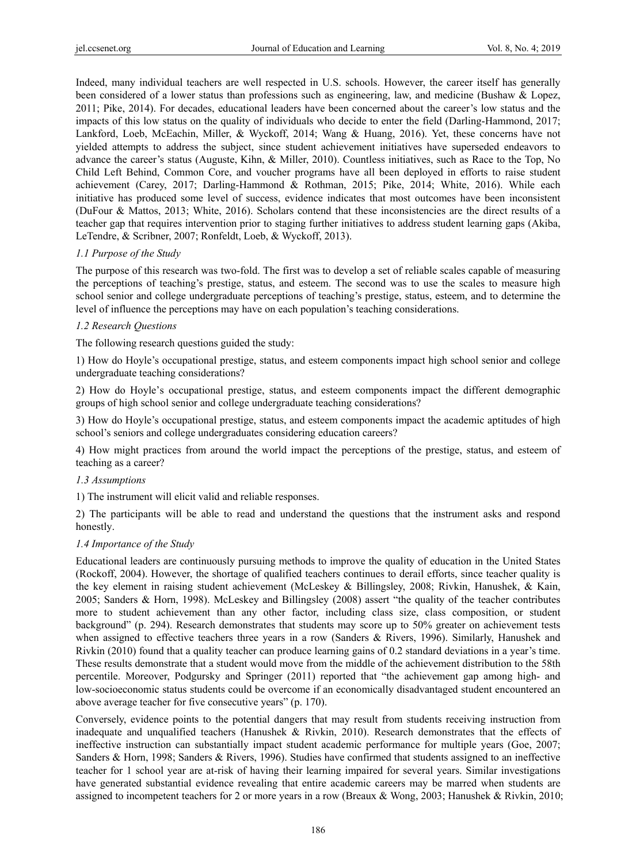Indeed, many individual teachers are well respected in U.S. schools. However, the career itself has generally been considered of a lower status than professions such as engineering, law, and medicine (Bushaw & Lopez, 2011; Pike, 2014). For decades, educational leaders have been concerned about the career's low status and the impacts of this low status on the quality of individuals who decide to enter the field (Darling-Hammond, 2017; Lankford, Loeb, McEachin, Miller, & Wyckoff, 2014; Wang & Huang, 2016). Yet, these concerns have not yielded attempts to address the subject, since student achievement initiatives have superseded endeavors to advance the career's status (Auguste, Kihn, & Miller, 2010). Countless initiatives, such as Race to the Top, No Child Left Behind, Common Core, and voucher programs have all been deployed in efforts to raise student achievement (Carey, 2017; Darling-Hammond & Rothman, 2015; Pike, 2014; White, 2016). While each initiative has produced some level of success, evidence indicates that most outcomes have been inconsistent (DuFour & Mattos, 2013; White, 2016). Scholars contend that these inconsistencies are the direct results of a teacher gap that requires intervention prior to staging further initiatives to address student learning gaps (Akiba, LeTendre, & Scribner, 2007; Ronfeldt, Loeb, & Wyckoff, 2013).

# *1.1 Purpose of the Study*

The purpose of this research was two-fold. The first was to develop a set of reliable scales capable of measuring the perceptions of teaching's prestige, status, and esteem. The second was to use the scales to measure high school senior and college undergraduate perceptions of teaching's prestige, status, esteem, and to determine the level of influence the perceptions may have on each population's teaching considerations.

## *1.2 Research Questions*

The following research questions guided the study:

1) How do Hoyle's occupational prestige, status, and esteem components impact high school senior and college undergraduate teaching considerations?

2) How do Hoyle's occupational prestige, status, and esteem components impact the different demographic groups of high school senior and college undergraduate teaching considerations?

3) How do Hoyle's occupational prestige, status, and esteem components impact the academic aptitudes of high school's seniors and college undergraduates considering education careers?

4) How might practices from around the world impact the perceptions of the prestige, status, and esteem of teaching as a career?

## *1.3 Assumptions*

1) The instrument will elicit valid and reliable responses.

2) The participants will be able to read and understand the questions that the instrument asks and respond honestly.

## *1.4 Importance of the Study*

Educational leaders are continuously pursuing methods to improve the quality of education in the United States (Rockoff, 2004). However, the shortage of qualified teachers continues to derail efforts, since teacher quality is the key element in raising student achievement (McLeskey & Billingsley, 2008; Rivkin, Hanushek, & Kain, 2005; Sanders & Horn, 1998). McLeskey and Billingsley (2008) assert "the quality of the teacher contributes more to student achievement than any other factor, including class size, class composition, or student background" (p. 294). Research demonstrates that students may score up to 50% greater on achievement tests when assigned to effective teachers three years in a row (Sanders & Rivers, 1996). Similarly, Hanushek and Rivkin (2010) found that a quality teacher can produce learning gains of 0.2 standard deviations in a year's time. These results demonstrate that a student would move from the middle of the achievement distribution to the 58th percentile. Moreover, Podgursky and Springer (2011) reported that "the achievement gap among high- and low-socioeconomic status students could be overcome if an economically disadvantaged student encountered an above average teacher for five consecutive years" (p. 170).

Conversely, evidence points to the potential dangers that may result from students receiving instruction from inadequate and unqualified teachers (Hanushek & Rivkin, 2010). Research demonstrates that the effects of ineffective instruction can substantially impact student academic performance for multiple years (Goe, 2007; Sanders & Horn, 1998; Sanders & Rivers, 1996). Studies have confirmed that students assigned to an ineffective teacher for 1 school year are at-risk of having their learning impaired for several years. Similar investigations have generated substantial evidence revealing that entire academic careers may be marred when students are assigned to incompetent teachers for 2 or more years in a row (Breaux & Wong, 2003; Hanushek & Rivkin, 2010;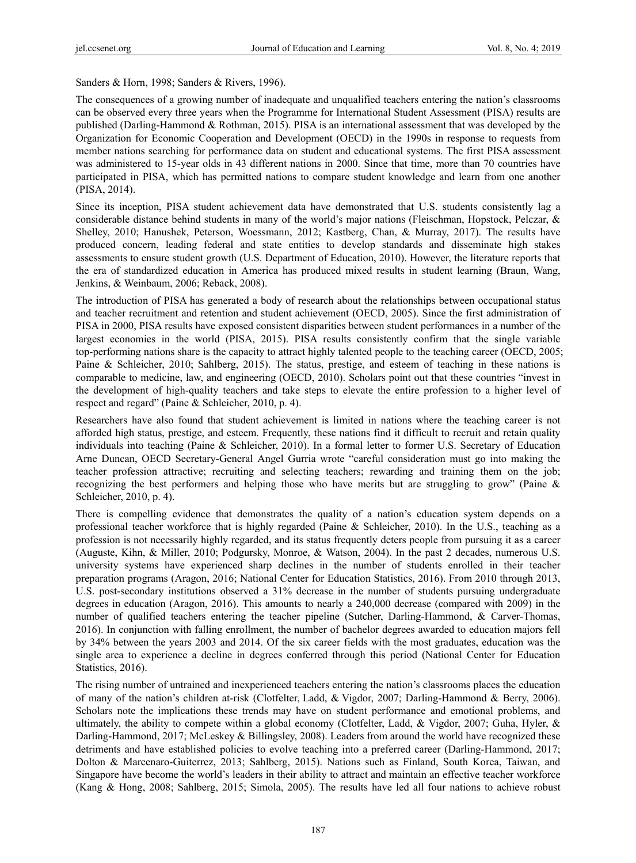Sanders & Horn, 1998; Sanders & Rivers, 1996).

The consequences of a growing number of inadequate and unqualified teachers entering the nation's classrooms can be observed every three years when the Programme for International Student Assessment (PISA) results are published (Darling-Hammond & Rothman, 2015). PISA is an international assessment that was developed by the Organization for Economic Cooperation and Development (OECD) in the 1990s in response to requests from member nations searching for performance data on student and educational systems. The first PISA assessment was administered to 15-year olds in 43 different nations in 2000. Since that time, more than 70 countries have participated in PISA, which has permitted nations to compare student knowledge and learn from one another (PISA, 2014).

Since its inception, PISA student achievement data have demonstrated that U.S. students consistently lag a considerable distance behind students in many of the world's major nations (Fleischman, Hopstock, Pelczar, & Shelley, 2010; Hanushek, Peterson, Woessmann, 2012; Kastberg, Chan, & Murray, 2017). The results have produced concern, leading federal and state entities to develop standards and disseminate high stakes assessments to ensure student growth (U.S. Department of Education, 2010). However, the literature reports that the era of standardized education in America has produced mixed results in student learning (Braun, Wang, Jenkins, & Weinbaum, 2006; Reback, 2008).

The introduction of PISA has generated a body of research about the relationships between occupational status and teacher recruitment and retention and student achievement (OECD, 2005). Since the first administration of PISA in 2000, PISA results have exposed consistent disparities between student performances in a number of the largest economies in the world (PISA, 2015). PISA results consistently confirm that the single variable top-performing nations share is the capacity to attract highly talented people to the teaching career (OECD, 2005; Paine & Schleicher, 2010; Sahlberg, 2015). The status, prestige, and esteem of teaching in these nations is comparable to medicine, law, and engineering (OECD, 2010). Scholars point out that these countries "invest in the development of high-quality teachers and take steps to elevate the entire profession to a higher level of respect and regard" (Paine & Schleicher, 2010, p. 4).

Researchers have also found that student achievement is limited in nations where the teaching career is not afforded high status, prestige, and esteem. Frequently, these nations find it difficult to recruit and retain quality individuals into teaching (Paine & Schleicher, 2010). In a formal letter to former U.S. Secretary of Education Arne Duncan, OECD Secretary-General Angel Gurria wrote "careful consideration must go into making the teacher profession attractive; recruiting and selecting teachers; rewarding and training them on the job; recognizing the best performers and helping those who have merits but are struggling to grow" (Paine & Schleicher, 2010, p. 4).

There is compelling evidence that demonstrates the quality of a nation's education system depends on a professional teacher workforce that is highly regarded (Paine & Schleicher, 2010). In the U.S., teaching as a profession is not necessarily highly regarded, and its status frequently deters people from pursuing it as a career (Auguste, Kihn, & Miller, 2010; Podgursky, Monroe, & Watson, 2004). In the past 2 decades, numerous U.S. university systems have experienced sharp declines in the number of students enrolled in their teacher preparation programs (Aragon, 2016; National Center for Education Statistics, 2016). From 2010 through 2013, U.S. post-secondary institutions observed a 31% decrease in the number of students pursuing undergraduate degrees in education (Aragon, 2016). This amounts to nearly a 240,000 decrease (compared with 2009) in the number of qualified teachers entering the teacher pipeline (Sutcher, Darling-Hammond, & Carver-Thomas, 2016). In conjunction with falling enrollment, the number of bachelor degrees awarded to education majors fell by 34% between the years 2003 and 2014. Of the six career fields with the most graduates, education was the single area to experience a decline in degrees conferred through this period (National Center for Education Statistics, 2016).

The rising number of untrained and inexperienced teachers entering the nation's classrooms places the education of many of the nation's children at-risk (Clotfelter, Ladd, & Vigdor, 2007; Darling-Hammond & Berry, 2006). Scholars note the implications these trends may have on student performance and emotional problems, and ultimately, the ability to compete within a global economy (Clotfelter, Ladd, & Vigdor, 2007; Guha, Hyler, & Darling-Hammond, 2017; McLeskey & Billingsley, 2008). Leaders from around the world have recognized these detriments and have established policies to evolve teaching into a preferred career (Darling-Hammond, 2017; Dolton & Marcenaro-Guiterrez, 2013; Sahlberg, 2015). Nations such as Finland, South Korea, Taiwan, and Singapore have become the world's leaders in their ability to attract and maintain an effective teacher workforce (Kang & Hong, 2008; Sahlberg, 2015; Simola, 2005). The results have led all four nations to achieve robust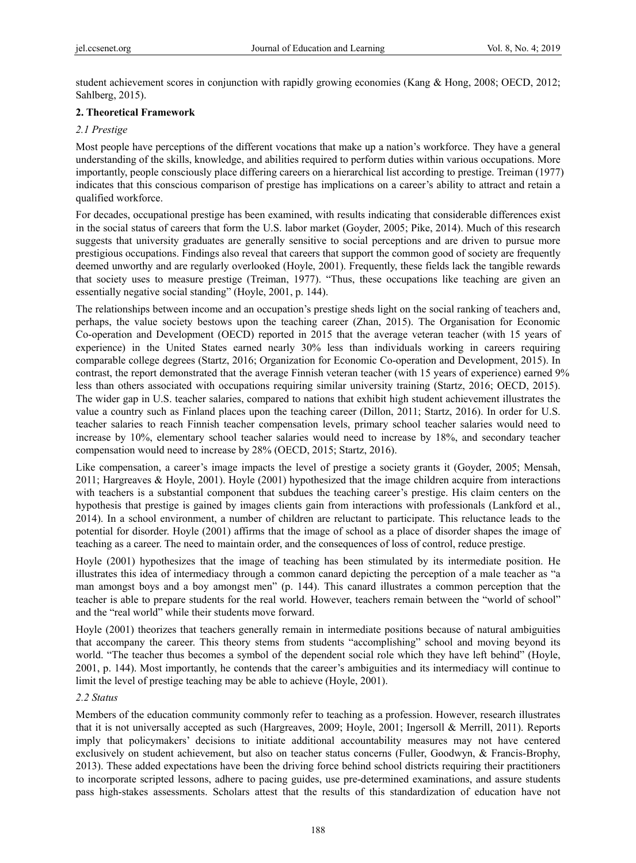student achievement scores in conjunction with rapidly growing economies (Kang & Hong, 2008; OECD, 2012; Sahlberg, 2015).

# **2. Theoretical Framework**

# *2.1 Prestige*

Most people have perceptions of the different vocations that make up a nation's workforce. They have a general understanding of the skills, knowledge, and abilities required to perform duties within various occupations. More importantly, people consciously place differing careers on a hierarchical list according to prestige. Treiman (1977) indicates that this conscious comparison of prestige has implications on a career's ability to attract and retain a qualified workforce.

For decades, occupational prestige has been examined, with results indicating that considerable differences exist in the social status of careers that form the U.S. labor market (Goyder, 2005; Pike, 2014). Much of this research suggests that university graduates are generally sensitive to social perceptions and are driven to pursue more prestigious occupations. Findings also reveal that careers that support the common good of society are frequently deemed unworthy and are regularly overlooked (Hoyle, 2001). Frequently, these fields lack the tangible rewards that society uses to measure prestige (Treiman, 1977). "Thus, these occupations like teaching are given an essentially negative social standing" (Hoyle, 2001, p. 144).

The relationships between income and an occupation's prestige sheds light on the social ranking of teachers and, perhaps, the value society bestows upon the teaching career (Zhan, 2015). The Organisation for Economic Co-operation and Development (OECD) reported in 2015 that the average veteran teacher (with 15 years of experience) in the United States earned nearly 30% less than individuals working in careers requiring comparable college degrees (Startz, 2016; Organization for Economic Co-operation and Development, 2015). In contrast, the report demonstrated that the average Finnish veteran teacher (with 15 years of experience) earned 9% less than others associated with occupations requiring similar university training (Startz, 2016; OECD, 2015). The wider gap in U.S. teacher salaries, compared to nations that exhibit high student achievement illustrates the value a country such as Finland places upon the teaching career (Dillon, 2011; Startz, 2016). In order for U.S. teacher salaries to reach Finnish teacher compensation levels, primary school teacher salaries would need to increase by 10%, elementary school teacher salaries would need to increase by 18%, and secondary teacher compensation would need to increase by 28% (OECD, 2015; Startz, 2016).

Like compensation, a career's image impacts the level of prestige a society grants it (Goyder, 2005; Mensah, 2011; Hargreaves & Hoyle, 2001). Hoyle (2001) hypothesized that the image children acquire from interactions with teachers is a substantial component that subdues the teaching career's prestige. His claim centers on the hypothesis that prestige is gained by images clients gain from interactions with professionals (Lankford et al., 2014). In a school environment, a number of children are reluctant to participate. This reluctance leads to the potential for disorder. Hoyle (2001) affirms that the image of school as a place of disorder shapes the image of teaching as a career. The need to maintain order, and the consequences of loss of control, reduce prestige.

Hoyle (2001) hypothesizes that the image of teaching has been stimulated by its intermediate position. He illustrates this idea of intermediacy through a common canard depicting the perception of a male teacher as "a man amongst boys and a boy amongst men" (p. 144). This canard illustrates a common perception that the teacher is able to prepare students for the real world. However, teachers remain between the "world of school" and the "real world" while their students move forward.

Hoyle (2001) theorizes that teachers generally remain in intermediate positions because of natural ambiguities that accompany the career. This theory stems from students "accomplishing" school and moving beyond its world. "The teacher thus becomes a symbol of the dependent social role which they have left behind" (Hoyle, 2001, p. 144). Most importantly, he contends that the career's ambiguities and its intermediacy will continue to limit the level of prestige teaching may be able to achieve (Hoyle, 2001).

## *2.2 Status*

Members of the education community commonly refer to teaching as a profession. However, research illustrates that it is not universally accepted as such (Hargreaves, 2009; Hoyle, 2001; Ingersoll & Merrill, 2011). Reports imply that policymakers' decisions to initiate additional accountability measures may not have centered exclusively on student achievement, but also on teacher status concerns (Fuller, Goodwyn, & Francis-Brophy, 2013). These added expectations have been the driving force behind school districts requiring their practitioners to incorporate scripted lessons, adhere to pacing guides, use pre-determined examinations, and assure students pass high-stakes assessments. Scholars attest that the results of this standardization of education have not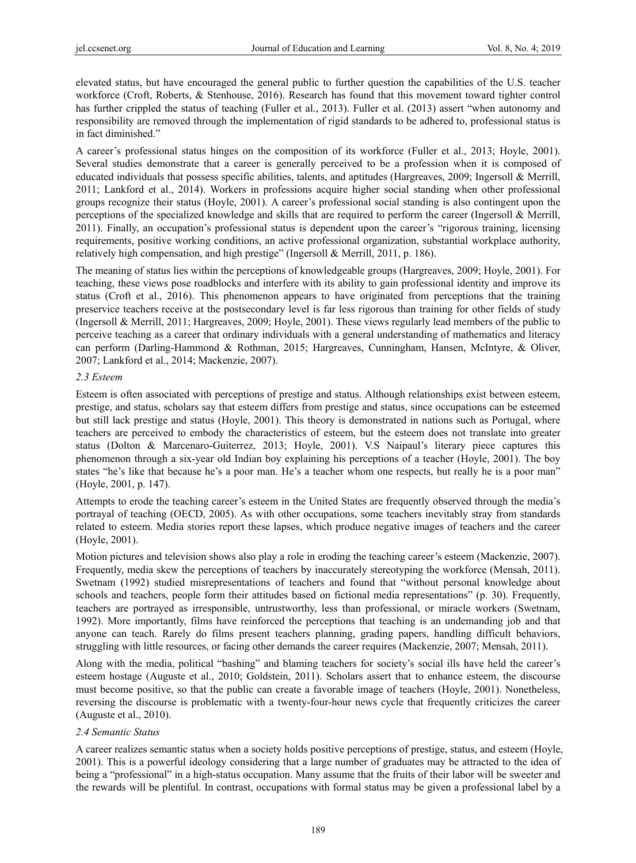elevated status, but have encouraged the general public to further question the capabilities of the U.S. teacher workforce (Croft, Roberts, & Stenhouse, 2016). Research has found that this movement toward tighter control has further crippled the status of teaching (Fuller et al., 2013). Fuller et al. (2013) assert "when autonomy and responsibility are removed through the implementation of rigid standards to be adhered to, professional status is in fact diminished."

A career's professional status hinges on the composition of its workforce (Fuller et al., 2013; Hoyle, 2001). Several studies demonstrate that a career is generally perceived to be a profession when it is composed of educated individuals that possess specific abilities, talents, and aptitudes (Hargreaves, 2009; Ingersoll & Merrill, 2011; Lankford et al., 2014). Workers in professions acquire higher social standing when other professional groups recognize their status (Hoyle, 2001). A career's professional social standing is also contingent upon the perceptions of the specialized knowledge and skills that are required to perform the career (Ingersoll & Merrill, 2011). Finally, an occupation's professional status is dependent upon the career's "rigorous training, licensing requirements, positive working conditions, an active professional organization, substantial workplace authority, relatively high compensation, and high prestige" (Ingersoll & Merrill, 2011, p. 186).

The meaning of status lies within the perceptions of knowledgeable groups (Hargreaves, 2009; Hoyle, 2001). For teaching, these views pose roadblocks and interfere with its ability to gain professional identity and improve its status (Croft et al., 2016). This phenomenon appears to have originated from perceptions that the training preservice teachers receive at the postsecondary level is far less rigorous than training for other fields of study (Ingersoll & Merrill, 2011; Hargreaves, 2009; Hoyle, 2001). These views regularly lead members of the public to perceive teaching as a career that ordinary individuals with a general understanding of mathematics and literacy can perform (Darling-Hammond & Rothman, 2015; Hargreaves, Cunningham, Hansen, McIntyre, & Oliver, 2007; Lankford et al., 2014; Mackenzie, 2007).

## *2.3 Esteem*

Esteem is often associated with perceptions of prestige and status. Although relationships exist between esteem, prestige, and status, scholars say that esteem differs from prestige and status, since occupations can be esteemed but still lack prestige and status (Hoyle, 2001). This theory is demonstrated in nations such as Portugal, where teachers are perceived to embody the characteristics of esteem, but the esteem does not translate into greater status (Dolton & Marcenaro-Guiterrez, 2013; Hoyle, 2001). V.S Naipaul's literary piece captures this phenomenon through a six-year old Indian boy explaining his perceptions of a teacher (Hoyle, 2001). The boy states "he's like that because he's a poor man. He's a teacher whom one respects, but really he is a poor man" (Hoyle, 2001, p. 147).

Attempts to erode the teaching career's esteem in the United States are frequently observed through the media's portrayal of teaching (OECD, 2005). As with other occupations, some teachers inevitably stray from standards related to esteem. Media stories report these lapses, which produce negative images of teachers and the career (Hoyle, 2001).

Motion pictures and television shows also play a role in eroding the teaching career's esteem (Mackenzie, 2007). Frequently, media skew the perceptions of teachers by inaccurately stereotyping the workforce (Mensah, 2011). Swetnam (1992) studied misrepresentations of teachers and found that "without personal knowledge about schools and teachers, people form their attitudes based on fictional media representations" (p. 30). Frequently, teachers are portrayed as irresponsible, untrustworthy, less than professional, or miracle workers (Swetnam, 1992). More importantly, films have reinforced the perceptions that teaching is an undemanding job and that anyone can teach. Rarely do films present teachers planning, grading papers, handling difficult behaviors, struggling with little resources, or facing other demands the career requires (Mackenzie, 2007; Mensah, 2011).

Along with the media, political "bashing" and blaming teachers for society's social ills have held the career's esteem hostage (Auguste et al., 2010; Goldstein, 2011). Scholars assert that to enhance esteem, the discourse must become positive, so that the public can create a favorable image of teachers (Hoyle, 2001). Nonetheless, reversing the discourse is problematic with a twenty-four-hour news cycle that frequently criticizes the career (Auguste et al., 2010).

## *2.4 Semantic Status*

A career realizes semantic status when a society holds positive perceptions of prestige, status, and esteem (Hoyle, 2001). This is a powerful ideology considering that a large number of graduates may be attracted to the idea of being a "professional" in a high-status occupation. Many assume that the fruits of their labor will be sweeter and the rewards will be plentiful. In contrast, occupations with formal status may be given a professional label by a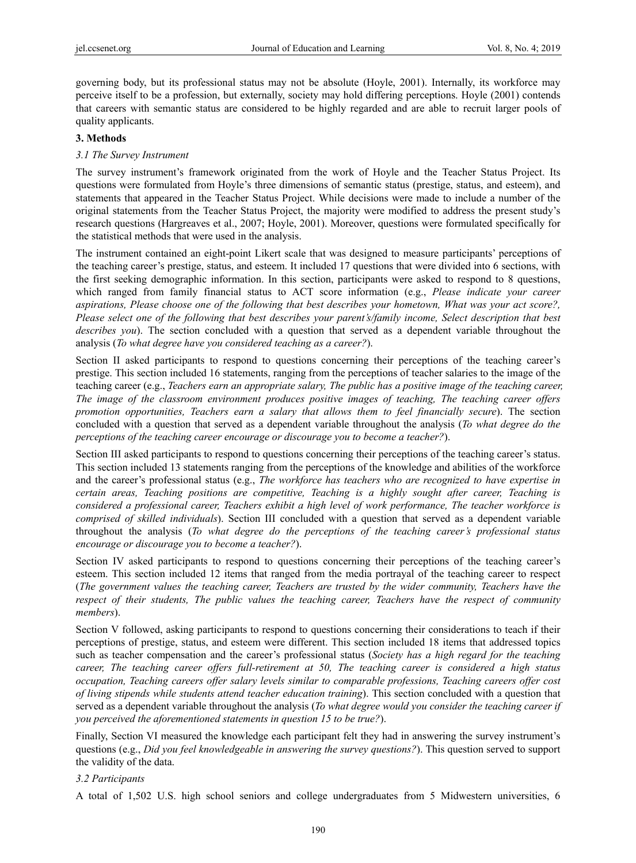governing body, but its professional status may not be absolute (Hoyle, 2001). Internally, its workforce may perceive itself to be a profession, but externally, society may hold differing perceptions. Hoyle (2001) contends that careers with semantic status are considered to be highly regarded and are able to recruit larger pools of quality applicants.

## **3. Methods**

## *3.1 The Survey Instrument*

The survey instrument's framework originated from the work of Hoyle and the Teacher Status Project. Its questions were formulated from Hoyle's three dimensions of semantic status (prestige, status, and esteem), and statements that appeared in the Teacher Status Project. While decisions were made to include a number of the original statements from the Teacher Status Project, the majority were modified to address the present study's research questions (Hargreaves et al., 2007; Hoyle, 2001). Moreover, questions were formulated specifically for the statistical methods that were used in the analysis.

The instrument contained an eight-point Likert scale that was designed to measure participants' perceptions of the teaching career's prestige, status, and esteem. It included 17 questions that were divided into 6 sections, with the first seeking demographic information. In this section, participants were asked to respond to 8 questions, which ranged from family financial status to ACT score information (e.g., *Please indicate your career aspirations, Please choose one of the following that best describes your hometown, What was your act score?, Please select one of the following that best describes your parent's/family income, Select description that best describes you*). The section concluded with a question that served as a dependent variable throughout the analysis (*To what degree have you considered teaching as a career?*).

Section II asked participants to respond to questions concerning their perceptions of the teaching career's prestige. This section included 16 statements, ranging from the perceptions of teacher salaries to the image of the teaching career (e.g., *Teachers earn an appropriate salary, The public has a positive image of the teaching career, The image of the classroom environment produces positive images of teaching, The teaching career offers promotion opportunities, Teachers earn a salary that allows them to feel financially secure*). The section concluded with a question that served as a dependent variable throughout the analysis (*To what degree do the perceptions of the teaching career encourage or discourage you to become a teacher?*).

Section III asked participants to respond to questions concerning their perceptions of the teaching career's status. This section included 13 statements ranging from the perceptions of the knowledge and abilities of the workforce and the career's professional status (e.g., *The workforce has teachers who are recognized to have expertise in certain areas, Teaching positions are competitive, Teaching is a highly sought after career, Teaching is considered a professional career, Teachers exhibit a high level of work performance, The teacher workforce is comprised of skilled individuals*). Section III concluded with a question that served as a dependent variable throughout the analysis (*To what degree do the perceptions of the teaching career's professional status encourage or discourage you to become a teacher?*).

Section IV asked participants to respond to questions concerning their perceptions of the teaching career's esteem. This section included 12 items that ranged from the media portrayal of the teaching career to respect (*The government values the teaching career, Teachers are trusted by the wider community, Teachers have the respect of their students, The public values the teaching career, Teachers have the respect of community members*).

Section V followed, asking participants to respond to questions concerning their considerations to teach if their perceptions of prestige, status, and esteem were different. This section included 18 items that addressed topics such as teacher compensation and the career's professional status (*Society has a high regard for the teaching career, The teaching career offers full-retirement at 50, The teaching career is considered a high status occupation, Teaching careers offer salary levels similar to comparable professions, Teaching careers offer cost of living stipends while students attend teacher education training*). This section concluded with a question that served as a dependent variable throughout the analysis (*To what degree would you consider the teaching career if you perceived the aforementioned statements in question 15 to be true?*).

Finally, Section VI measured the knowledge each participant felt they had in answering the survey instrument's questions (e.g., *Did you feel knowledgeable in answering the survey questions?*). This question served to support the validity of the data.

#### *3.2 Participants*

A total of 1,502 U.S. high school seniors and college undergraduates from 5 Midwestern universities, 6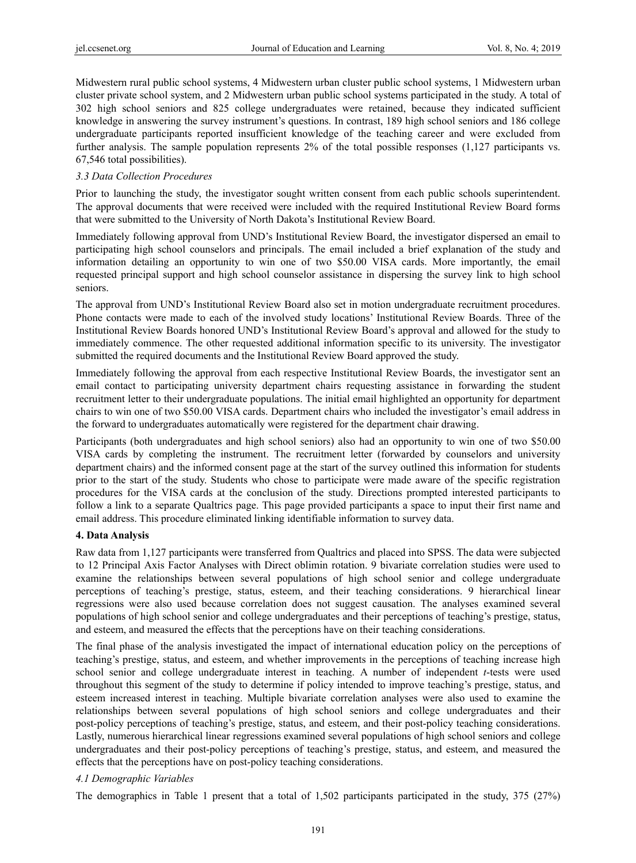Midwestern rural public school systems, 4 Midwestern urban cluster public school systems, 1 Midwestern urban cluster private school system, and 2 Midwestern urban public school systems participated in the study. A total of 302 high school seniors and 825 college undergraduates were retained, because they indicated sufficient knowledge in answering the survey instrument's questions. In contrast, 189 high school seniors and 186 college undergraduate participants reported insufficient knowledge of the teaching career and were excluded from further analysis. The sample population represents 2% of the total possible responses (1,127 participants vs. 67,546 total possibilities).

# *3.3 Data Collection Procedures*

Prior to launching the study, the investigator sought written consent from each public schools superintendent. The approval documents that were received were included with the required Institutional Review Board forms that were submitted to the University of North Dakota's Institutional Review Board.

Immediately following approval from UND's Institutional Review Board, the investigator dispersed an email to participating high school counselors and principals. The email included a brief explanation of the study and information detailing an opportunity to win one of two \$50.00 VISA cards. More importantly, the email requested principal support and high school counselor assistance in dispersing the survey link to high school seniors.

The approval from UND's Institutional Review Board also set in motion undergraduate recruitment procedures. Phone contacts were made to each of the involved study locations' Institutional Review Boards. Three of the Institutional Review Boards honored UND's Institutional Review Board's approval and allowed for the study to immediately commence. The other requested additional information specific to its university. The investigator submitted the required documents and the Institutional Review Board approved the study.

Immediately following the approval from each respective Institutional Review Boards, the investigator sent an email contact to participating university department chairs requesting assistance in forwarding the student recruitment letter to their undergraduate populations. The initial email highlighted an opportunity for department chairs to win one of two \$50.00 VISA cards. Department chairs who included the investigator's email address in the forward to undergraduates automatically were registered for the department chair drawing.

Participants (both undergraduates and high school seniors) also had an opportunity to win one of two \$50.00 VISA cards by completing the instrument. The recruitment letter (forwarded by counselors and university department chairs) and the informed consent page at the start of the survey outlined this information for students prior to the start of the study. Students who chose to participate were made aware of the specific registration procedures for the VISA cards at the conclusion of the study. Directions prompted interested participants to follow a link to a separate Qualtrics page. This page provided participants a space to input their first name and email address. This procedure eliminated linking identifiable information to survey data.

## **4. Data Analysis**

Raw data from 1,127 participants were transferred from Qualtrics and placed into SPSS. The data were subjected to 12 Principal Axis Factor Analyses with Direct oblimin rotation. 9 bivariate correlation studies were used to examine the relationships between several populations of high school senior and college undergraduate perceptions of teaching's prestige, status, esteem, and their teaching considerations. 9 hierarchical linear regressions were also used because correlation does not suggest causation. The analyses examined several populations of high school senior and college undergraduates and their perceptions of teaching's prestige, status, and esteem, and measured the effects that the perceptions have on their teaching considerations.

The final phase of the analysis investigated the impact of international education policy on the perceptions of teaching's prestige, status, and esteem, and whether improvements in the perceptions of teaching increase high school senior and college undergraduate interest in teaching. A number of independent *t*-tests were used throughout this segment of the study to determine if policy intended to improve teaching's prestige, status, and esteem increased interest in teaching. Multiple bivariate correlation analyses were also used to examine the relationships between several populations of high school seniors and college undergraduates and their post-policy perceptions of teaching's prestige, status, and esteem, and their post-policy teaching considerations. Lastly, numerous hierarchical linear regressions examined several populations of high school seniors and college undergraduates and their post-policy perceptions of teaching's prestige, status, and esteem, and measured the effects that the perceptions have on post-policy teaching considerations.

# *4.1 Demographic Variables*

The demographics in Table 1 present that a total of 1,502 participants participated in the study, 375 (27%)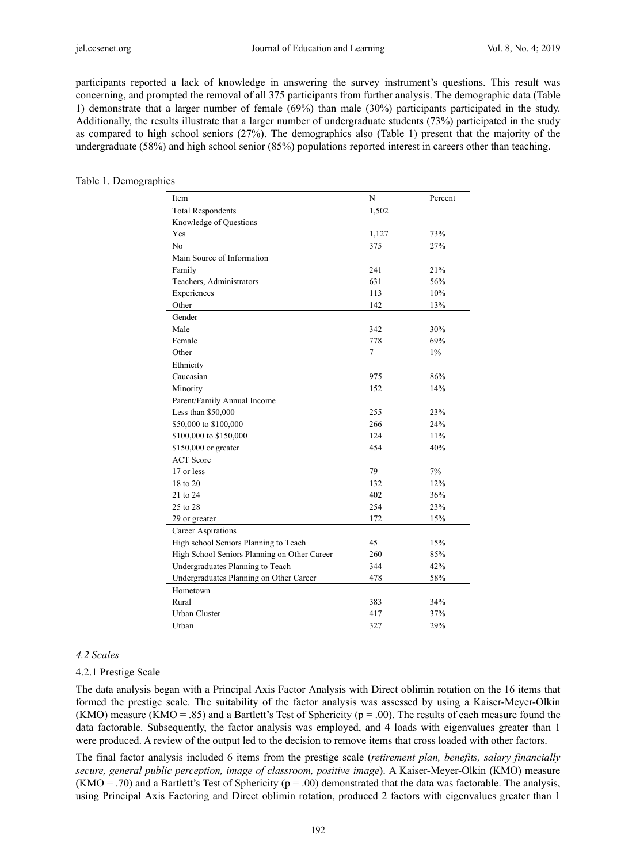participants reported a lack of knowledge in answering the survey instrument's questions. This result was concerning, and prompted the removal of all 375 participants from further analysis. The demographic data (Table 1) demonstrate that a larger number of female (69%) than male (30%) participants participated in the study. Additionally, the results illustrate that a larger number of undergraduate students (73%) participated in the study as compared to high school seniors (27%). The demographics also (Table 1) present that the majority of the undergraduate (58%) and high school senior (85%) populations reported interest in careers other than teaching.

#### Table 1. Demographics

| Item                                         | $\mathbf N$ | Percent |
|----------------------------------------------|-------------|---------|
| <b>Total Respondents</b>                     | 1,502       |         |
| Knowledge of Questions                       |             |         |
| Yes                                          | 1,127       | 73%     |
| No                                           | 375         | 27%     |
| Main Source of Information                   |             |         |
| Family                                       | 241         | 21%     |
| Teachers, Administrators                     | 631         | 56%     |
| Experiences                                  | 113         | 10%     |
| Other                                        | 142         | 13%     |
| Gender                                       |             |         |
| Male                                         | 342         | 30%     |
| Female                                       | 778         | 69%     |
| Other                                        | $\tau$      | $1\%$   |
| Ethnicity                                    |             |         |
| Caucasian                                    | 975         | 86%     |
| Minority                                     | 152         | 14%     |
| Parent/Family Annual Income                  |             |         |
| Less than \$50,000                           | 255         | 23%     |
| \$50,000 to \$100,000                        | 266         | 24%     |
| \$100,000 to \$150,000                       | 124         | 11%     |
| $$150,000$ or greater                        | 454         | 40%     |
| <b>ACT</b> Score                             |             |         |
| 17 or less                                   | 79          | 7%      |
| 18 to 20                                     | 132         | 12%     |
| 21 to 24                                     | 402         | 36%     |
| 25 to 28                                     | 254         | 23%     |
| 29 or greater                                | 172         | 15%     |
| Career Aspirations                           |             |         |
| High school Seniors Planning to Teach        | 45          | $15\%$  |
| High School Seniors Planning on Other Career | 260         | 85%     |
| Undergraduates Planning to Teach             | 344         | 42%     |
| Undergraduates Planning on Other Career      | 478         | 58%     |
| Hometown                                     |             |         |
| Rural                                        | 383         | 34%     |
| Urban Cluster                                | 417         | 37%     |
| Urban                                        | 327         | 29%     |

#### *4.2 Scales*

#### 4.2.1 Prestige Scale

The data analysis began with a Principal Axis Factor Analysis with Direct oblimin rotation on the 16 items that formed the prestige scale. The suitability of the factor analysis was assessed by using a Kaiser-Meyer-Olkin (KMO) measure (KMO = .85) and a Bartlett's Test of Sphericity ( $p = .00$ ). The results of each measure found the data factorable. Subsequently, the factor analysis was employed, and 4 loads with eigenvalues greater than 1 were produced. A review of the output led to the decision to remove items that cross loaded with other factors.

The final factor analysis included 6 items from the prestige scale (*retirement plan, benefits, salary financially secure, general public perception, image of classroom, positive image*). A Kaiser-Meyer-Olkin (KMO) measure (KMO = .70) and a Bartlett's Test of Sphericity ( $p = .00$ ) demonstrated that the data was factorable. The analysis, using Principal Axis Factoring and Direct oblimin rotation, produced 2 factors with eigenvalues greater than 1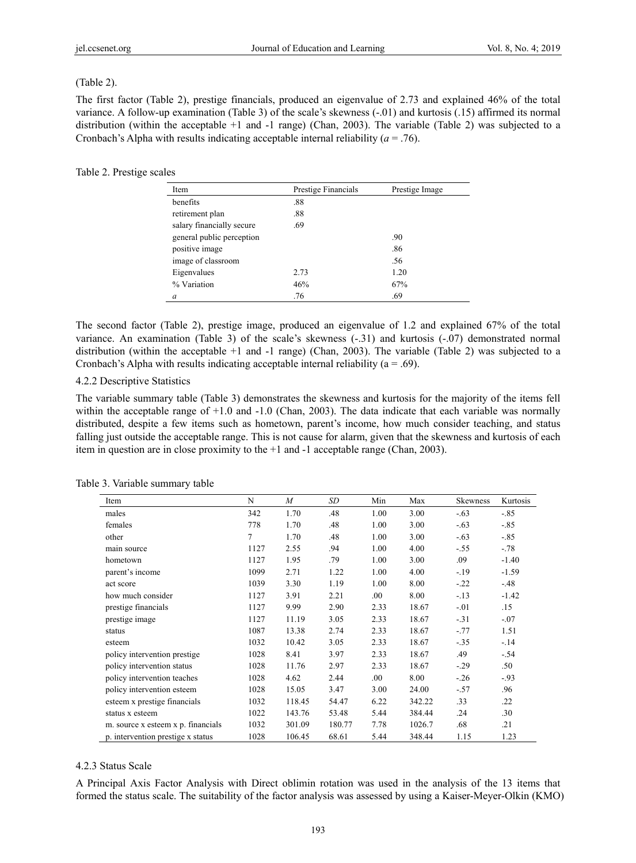## (Table 2).

The first factor (Table 2), prestige financials, produced an eigenvalue of 2.73 and explained 46% of the total variance. A follow-up examination (Table 3) of the scale's skewness (-.01) and kurtosis (.15) affirmed its normal distribution (within the acceptable +1 and -1 range) (Chan, 2003). The variable (Table 2) was subjected to a Cronbach's Alpha with results indicating acceptable internal reliability  $(a = .76)$ .

## Table 2. Prestige scales

| Item                      | Prestige Financials | Prestige Image |
|---------------------------|---------------------|----------------|
| benefits                  | .88                 |                |
| retirement plan           | .88                 |                |
| salary financially secure | .69                 |                |
| general public perception |                     | .90            |
| positive image            |                     | .86            |
| image of classroom        |                     | .56            |
| Eigenvalues               | 2.73                | 1.20           |
| % Variation               | 46%                 | 67%            |
| a                         | .76                 | .69            |

The second factor (Table 2), prestige image, produced an eigenvalue of 1.2 and explained 67% of the total variance. An examination (Table 3) of the scale's skewness (-.31) and kurtosis (-.07) demonstrated normal distribution (within the acceptable +1 and -1 range) (Chan, 2003). The variable (Table 2) was subjected to a Cronbach's Alpha with results indicating acceptable internal reliability ( $a = .69$ ).

# 4.2.2 Descriptive Statistics

The variable summary table (Table 3) demonstrates the skewness and kurtosis for the majority of the items fell within the acceptable range of  $+1.0$  and  $-1.0$  (Chan, 2003). The data indicate that each variable was normally distributed, despite a few items such as hometown, parent's income, how much consider teaching, and status falling just outside the acceptable range. This is not cause for alarm, given that the skewness and kurtosis of each item in question are in close proximity to the +1 and -1 acceptable range (Chan, 2003).

| Item                               | N    | $\overline{M}$ | SD     | Min  | Max    | Skewness | Kurtosis |
|------------------------------------|------|----------------|--------|------|--------|----------|----------|
| males                              | 342  | 1.70           | .48    | 1.00 | 3.00   | $-.63$   | $-.85$   |
| females                            | 778  | 1.70           | .48    | 1.00 | 3.00   | $-.63$   | $-.85$   |
| other                              | 7    | 1.70           | .48    | 1.00 | 3.00   | $-.63$   | $-.85$   |
| main source                        | 1127 | 2.55           | .94    | 1.00 | 4.00   | $-.55$   | $-.78$   |
| hometown                           | 1127 | 1.95           | .79    | 1.00 | 3.00   | .09      | $-1.40$  |
| parent's income                    | 1099 | 2.71           | 1.22   | 1.00 | 4.00   | $-19$    | $-1.59$  |
| act score                          | 1039 | 3.30           | 1.19   | 1.00 | 8.00   | $-.22$   | $-.48$   |
| how much consider                  | 1127 | 3.91           | 2.21   | .00. | 8.00   | $-.13$   | $-1.42$  |
| prestige financials                | 1127 | 9.99           | 2.90   | 2.33 | 18.67  | $-.01$   | .15      |
| prestige image                     | 1127 | 11.19          | 3.05   | 2.33 | 18.67  | $-.31$   | $-.07$   |
| status                             | 1087 | 13.38          | 2.74   | 2.33 | 18.67  | $-.77$   | 1.51     |
| esteem                             | 1032 | 10.42          | 3.05   | 2.33 | 18.67  | $-.35$   | $-14$    |
| policy intervention prestige       | 1028 | 8.41           | 3.97   | 2.33 | 18.67  | .49      | $-.54$   |
| policy intervention status         | 1028 | 11.76          | 2.97   | 2.33 | 18.67  | $-29$    | .50      |
| policy intervention teaches        | 1028 | 4.62           | 2.44   | .00. | 8.00   | $-.26$   | $-.93$   |
| policy intervention esteem         | 1028 | 15.05          | 3.47   | 3.00 | 24.00  | $-.57$   | .96      |
| esteem x prestige financials       | 1032 | 118.45         | 54.47  | 6.22 | 342.22 | .33      | .22      |
| status x esteem                    | 1022 | 143.76         | 53.48  | 5.44 | 384.44 | .24      | .30      |
| m. source x esteem x p. financials | 1032 | 301.09         | 180.77 | 7.78 | 1026.7 | .68      | .21      |
| p. intervention prestige x status  | 1028 | 106.45         | 68.61  | 5.44 | 348.44 | 1.15     | 1.23     |

#### Table 3. Variable summary table

# 4.2.3 Status Scale

A Principal Axis Factor Analysis with Direct oblimin rotation was used in the analysis of the 13 items that formed the status scale. The suitability of the factor analysis was assessed by using a Kaiser-Meyer-Olkin (KMO)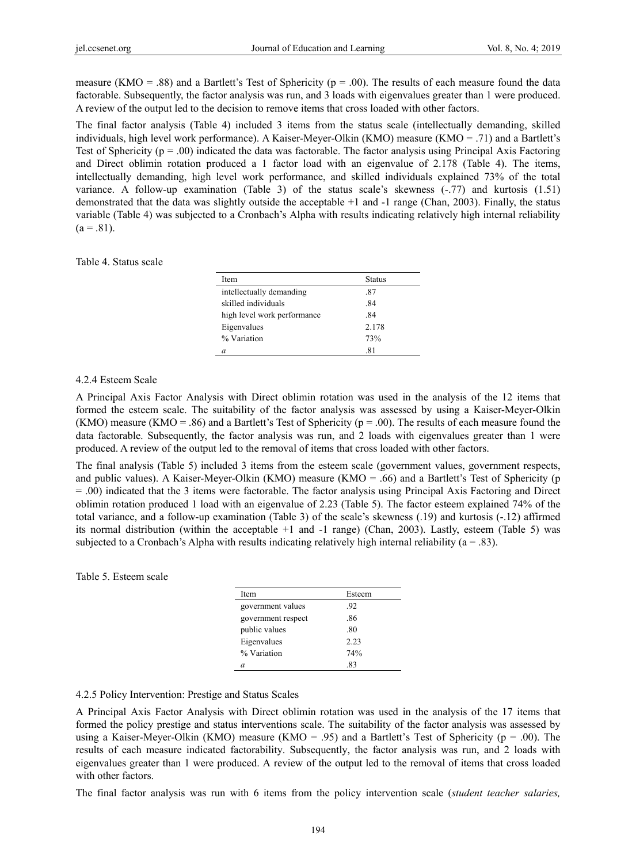measure (KMO = .88) and a Bartlett's Test of Sphericity ( $p = .00$ ). The results of each measure found the data factorable. Subsequently, the factor analysis was run, and 3 loads with eigenvalues greater than 1 were produced. A review of the output led to the decision to remove items that cross loaded with other factors.

The final factor analysis (Table 4) included 3 items from the status scale (intellectually demanding, skilled individuals, high level work performance). A Kaiser-Meyer-Olkin (KMO) measure (KMO = .71) and a Bartlett's Test of Sphericity ( $p = .00$ ) indicated the data was factorable. The factor analysis using Principal Axis Factoring and Direct oblimin rotation produced a 1 factor load with an eigenvalue of 2.178 (Table 4). The items, intellectually demanding, high level work performance, and skilled individuals explained 73% of the total variance. A follow-up examination (Table 3) of the status scale's skewness  $(-77)$  and kurtosis  $(1.51)$ demonstrated that the data was slightly outside the acceptable +1 and -1 range (Chan, 2003). Finally, the status variable (Table 4) was subjected to a Cronbach's Alpha with results indicating relatively high internal reliability  $(a = .81)$ .

#### Table 4. Status scale

| Item                        | <b>Status</b> |
|-----------------------------|---------------|
| intellectually demanding    | .87           |
| skilled individuals         | .84           |
| high level work performance | .84           |
| Eigenvalues                 | 2.178         |
| % Variation                 | 73%           |
| a                           | .81           |

## 4.2.4 Esteem Scale

A Principal Axis Factor Analysis with Direct oblimin rotation was used in the analysis of the 12 items that formed the esteem scale. The suitability of the factor analysis was assessed by using a Kaiser-Meyer-Olkin (KMO) measure (KMO = .86) and a Bartlett's Test of Sphericity ( $p = .00$ ). The results of each measure found the data factorable. Subsequently, the factor analysis was run, and 2 loads with eigenvalues greater than 1 were produced. A review of the output led to the removal of items that cross loaded with other factors.

The final analysis (Table 5) included 3 items from the esteem scale (government values, government respects, and public values). A Kaiser-Meyer-Olkin (KMO) measure (KMO = .66) and a Bartlett's Test of Sphericity (p = .00) indicated that the 3 items were factorable. The factor analysis using Principal Axis Factoring and Direct oblimin rotation produced 1 load with an eigenvalue of 2.23 (Table 5). The factor esteem explained 74% of the total variance, and a follow-up examination (Table 3) of the scale's skewness (.19) and kurtosis (-.12) affirmed its normal distribution (within the acceptable +1 and -1 range) (Chan, 2003). Lastly, esteem (Table 5) was subjected to a Cronbach's Alpha with results indicating relatively high internal reliability ( $a = .83$ ).

#### Table 5. Esteem scale

| Item               | Esteem |
|--------------------|--------|
| government values  | .92    |
| government respect | .86    |
| public values      | -80    |
| Eigenvalues        | 2.23   |
| % Variation        | 74%    |
| a                  | -83    |

#### 4.2.5 Policy Intervention: Prestige and Status Scales

A Principal Axis Factor Analysis with Direct oblimin rotation was used in the analysis of the 17 items that formed the policy prestige and status interventions scale. The suitability of the factor analysis was assessed by using a Kaiser-Meyer-Olkin (KMO) measure (KMO = .95) and a Bartlett's Test of Sphericity ( $p = .00$ ). The results of each measure indicated factorability. Subsequently, the factor analysis was run, and 2 loads with eigenvalues greater than 1 were produced. A review of the output led to the removal of items that cross loaded with other factors.

The final factor analysis was run with 6 items from the policy intervention scale (*student teacher salaries,*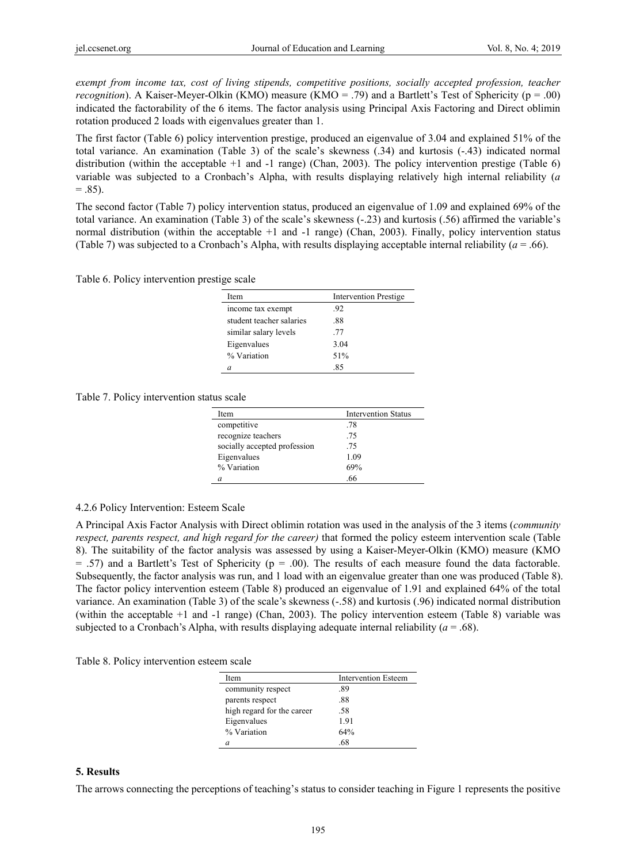*exempt from income tax, cost of living stipends, competitive positions, socially accepted profession, teacher recognition*). A Kaiser-Meyer-Olkin (KMO) measure (KMO = .79) and a Bartlett's Test of Sphericity (p = .00) indicated the factorability of the 6 items. The factor analysis using Principal Axis Factoring and Direct oblimin rotation produced 2 loads with eigenvalues greater than 1.

The first factor (Table 6) policy intervention prestige, produced an eigenvalue of 3.04 and explained 51% of the total variance. An examination (Table 3) of the scale's skewness (.34) and kurtosis (-.43) indicated normal distribution (within the acceptable +1 and -1 range) (Chan, 2003). The policy intervention prestige (Table 6) variable was subjected to a Cronbach's Alpha, with results displaying relatively high internal reliability (*a*   $= .85$ ).

The second factor (Table 7) policy intervention status, produced an eigenvalue of 1.09 and explained 69% of the total variance. An examination (Table 3) of the scale's skewness (-.23) and kurtosis (.56) affirmed the variable's normal distribution (within the acceptable +1 and -1 range) (Chan, 2003). Finally, policy intervention status (Table 7) was subjected to a Cronbach's Alpha, with results displaying acceptable internal reliability  $(a = .66)$ .

Table 6. Policy intervention prestige scale

| Item                     | <b>Intervention Prestige</b> |
|--------------------------|------------------------------|
| income tax exempt        | .92                          |
| student teacher salaries | .88                          |
| similar salary levels    | .77                          |
| Eigenvalues              | 3.04                         |
| % Variation              | 51%                          |
|                          | .85                          |

Table 7. Policy intervention status scale

| Item                         | <b>Intervention Status</b> |
|------------------------------|----------------------------|
| competitive                  | .78                        |
| recognize teachers           | .75                        |
| socially accepted profession | .75                        |
| Eigenvalues                  | 1.09                       |
| % Variation                  | 69%                        |
|                              | 66                         |

## 4.2.6 Policy Intervention: Esteem Scale

A Principal Axis Factor Analysis with Direct oblimin rotation was used in the analysis of the 3 items (*community respect, parents respect, and high regard for the career)* that formed the policy esteem intervention scale (Table 8). The suitability of the factor analysis was assessed by using a Kaiser-Meyer-Olkin (KMO) measure (KMO  $= .57$ ) and a Bartlett's Test of Sphericity ( $p = .00$ ). The results of each measure found the data factorable. Subsequently, the factor analysis was run, and 1 load with an eigenvalue greater than one was produced (Table 8). The factor policy intervention esteem (Table 8) produced an eigenvalue of 1.91 and explained 64% of the total variance. An examination (Table 3) of the scale's skewness (-.58) and kurtosis (.96) indicated normal distribution (within the acceptable +1 and -1 range) (Chan, 2003). The policy intervention esteem (Table 8) variable was subjected to a Cronbach's Alpha, with results displaying adequate internal reliability (*a* = .68).

Table 8. Policy intervention esteem scale

| Item                       | <b>Intervention Esteem</b> |
|----------------------------|----------------------------|
| community respect          | .89                        |
| parents respect            | .88                        |
| high regard for the career | .58                        |
| Eigenvalues                | 1.91                       |
| % Variation                | 64%                        |
|                            | 68                         |

## **5. Results**

The arrows connecting the perceptions of teaching's status to consider teaching in Figure 1 represents the positive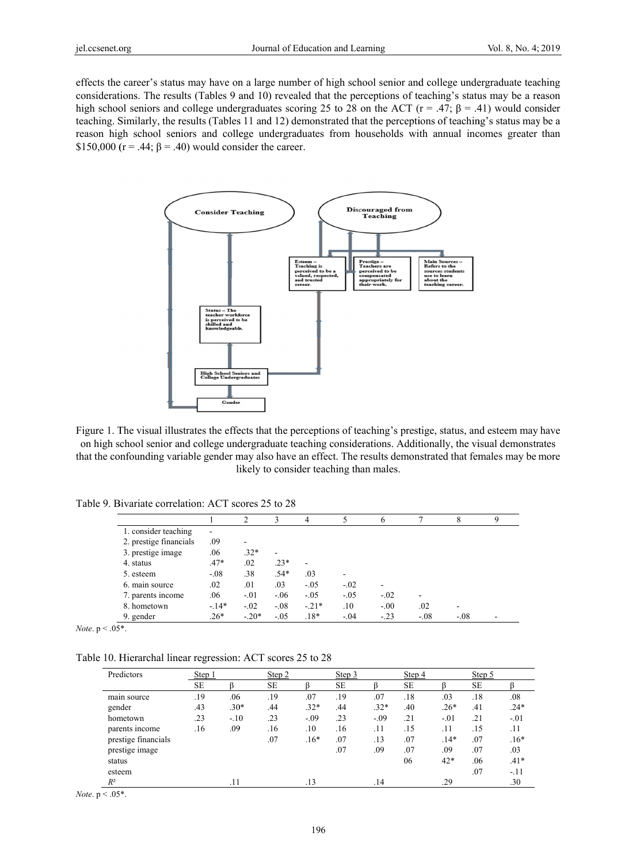effects the career's status may have on a large number of high school senior and college undergraduate teaching considerations. The results (Tables 9 and 10) revealed that the perceptions of teaching's status may be a reason high school seniors and college undergraduates scoring 25 to 28 on the ACT ( $r = .47$ ;  $\beta = .41$ ) would consider teaching. Similarly, the results (Tables 11 and 12) demonstrated that the perceptions of teaching's status may be a reason high school seniors and college undergraduates from households with annual incomes greater than \$150,000 ( $r = .44$ ;  $\beta = .40$ ) would consider the career.



Figure 1. The visual illustrates the effects that the perceptions of teaching's prestige, status, and esteem may have on high school senior and college undergraduate teaching considerations. Additionally, the visual demonstrates that the confounding variable gender may also have an effect. The results demonstrated that females may be more likely to consider teaching than males.

Table 9. Bivariate correlation: ACT scores 25 to 28

|                        |                | $\mathfrak{D}$ |        | 4      |        | o      |        | 8      |  |
|------------------------|----------------|----------------|--------|--------|--------|--------|--------|--------|--|
| 1. consider teaching   | $\overline{a}$ |                |        |        |        |        |        |        |  |
| 2. prestige financials | .09            |                |        |        |        |        |        |        |  |
| 3. prestige image      | .06            | $.32*$         | ۰      |        |        |        |        |        |  |
| 4. status              | $.47*$         | .02            | $.23*$ |        |        |        |        |        |  |
| 5. esteem              | $-.08$         | .38            | $.54*$ | .03    |        |        |        |        |  |
| 6. main source         | .02            | .01            | .03    | $-.05$ | $-.02$ |        |        |        |  |
| 7. parents income      | .06            | $-.01$         | $-.06$ | $-.05$ | $-.05$ | $-.02$ | ۰      |        |  |
| 8. hometown            | $-14*$         | $-.02$         | $-.08$ | $-21*$ | .10    | $-.00$ | .02    |        |  |
| 9. gender              | $.26*$         | $-.20*$        | $-.05$ | $.18*$ | $-.04$ | $-.23$ | $-.08$ | $-.08$ |  |

*Note*.  $p < .05^*$ .

Table 10. Hierarchal linear regression: ACT scores 25 to 28

| Predictors          | Step 1    |        | Step 2    |        | Step 3    |        | Step 4    |        | Step 5    |          |
|---------------------|-----------|--------|-----------|--------|-----------|--------|-----------|--------|-----------|----------|
|                     | <b>SE</b> |        | <b>SE</b> |        | <b>SE</b> |        | <b>SE</b> |        | <b>SE</b> |          |
| main source         | .19       | .06    | .19       | .07    | .19       | .07    | .18       | .03    | .18       | $_{.08}$ |
| gender              | .43       | $.30*$ | .44       | $.32*$ | .44       | $.32*$ | .40       | $.26*$ | .41       | $.24*$   |
| hometown            | .23       | $-.10$ | .23       | $-.09$ | .23       | $-.09$ | .21       | $-.01$ | .21       | $-.01$   |
| parents income      | .16       | .09    | .16       | .10    | .16       | .11    | .15       | .11    | .15       | .11      |
| prestige financials |           |        | .07       | $.16*$ | .07       | .13    | .07       | $.14*$ | .07       | $.16*$   |
| prestige image      |           |        |           |        | .07       | .09    | .07       | .09    | .07       | .03      |
| status              |           |        |           |        |           |        | 06        | 42*    | .06       | $.41*$   |
| esteem              |           |        |           |        |           |        |           |        | .07       | $-.11$   |
| $R^2$               |           | .11    |           | .13    |           | .14    |           | .29    |           | .30      |

*Note*.  $p < .05^*$ .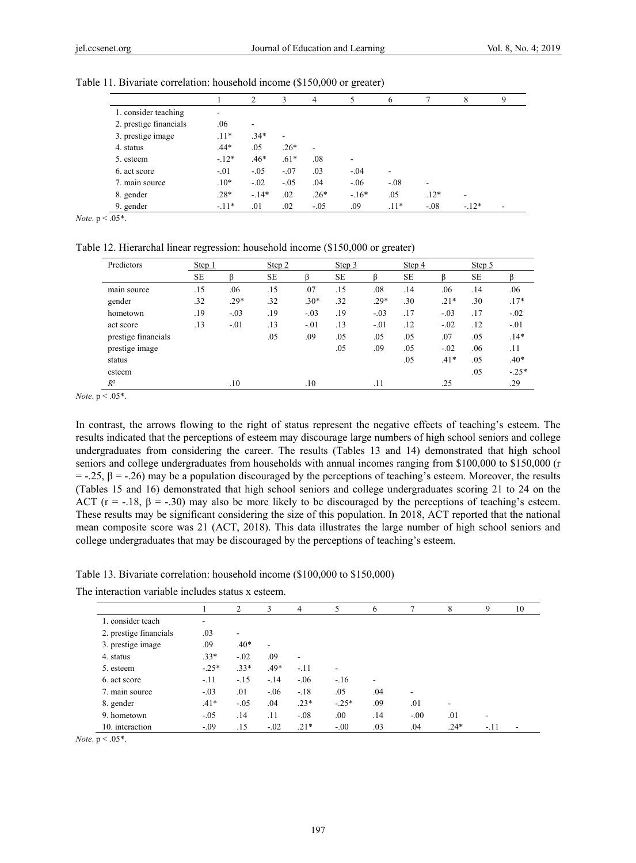|                        |        | 2      | 3                        | 4              |        | 6                        |        | 8      | 9 |
|------------------------|--------|--------|--------------------------|----------------|--------|--------------------------|--------|--------|---|
| 1. consider teaching   | ٠      |        |                          |                |        |                          |        |        |   |
| 2. prestige financials | .06    | ۰      |                          |                |        |                          |        |        |   |
| 3. prestige image      | $.11*$ | $34*$  | $\overline{\phantom{a}}$ |                |        |                          |        |        |   |
| 4. status              | $.44*$ | .05    | $.26*$                   | $\overline{a}$ |        |                          |        |        |   |
| 5. esteem              | $-12*$ | $.46*$ | $.61*$                   | .08            |        |                          |        |        |   |
| 6. act score           | $-.01$ | $-.05$ | $-.07$                   | .03            | $-.04$ | $\overline{\phantom{a}}$ |        |        |   |
| 7. main source         | $.10*$ | $-.02$ | $-.05$                   | .04            | $-.06$ | $-.08$                   | ٠      |        |   |
| 8. gender              | $.28*$ | $-14*$ | .02                      | $.26*$         | $-16*$ | .05                      | $.12*$ | -      |   |
| 9. gender              | $-11*$ | .01    | .02                      | $-.05$         | .09    | $.11*$                   | $-.08$ | $-12*$ | ۰ |

Table 11. Bivariate correlation: household income (\$150,000 or greater)

*Note*. p < .05\*.

Table 12. Hierarchal linear regression: household income (\$150,000 or greater)

| Predictors          | Step 1    |        | Step 2    |        | Step 3    |        | Step 4    |        | Step 5    |         |
|---------------------|-----------|--------|-----------|--------|-----------|--------|-----------|--------|-----------|---------|
|                     | <b>SE</b> |        | <b>SE</b> |        | <b>SE</b> |        | <b>SE</b> |        | <b>SE</b> |         |
| main source         | .15       | .06    | .15       | .07    | .15       | .08    | .14       | .06    | .14       | .06     |
| gender              | .32       | $.29*$ | .32       | $.30*$ | .32       | $.29*$ | .30       | $.21*$ | .30       | $.17*$  |
| hometown            | .19       | $-.03$ | .19       | $-.03$ | .19       | $-.03$ | .17       | $-.03$ | .17       | $-.02$  |
| act score           | .13       | $-.01$ | .13       | $-.01$ | .13       | $-.01$ | .12       | $-.02$ | .12       | $-.01$  |
| prestige financials |           |        | .05       | .09    | .05       | .05    | .05       | .07    | .05       | $.14*$  |
| prestige image      |           |        |           |        | .05       | .09    | .05       | $-.02$ | .06       | .11     |
| status              |           |        |           |        |           |        | .05       | $.41*$ | .05       | $.40*$  |
| esteem              |           |        |           |        |           |        |           |        | .05       | $-.25*$ |
| $R^2$               |           | .10    |           | .10    |           | .11    |           | .25    |           | .29     |

*Note*. p < .05\*.

In contrast, the arrows flowing to the right of status represent the negative effects of teaching's esteem. The results indicated that the perceptions of esteem may discourage large numbers of high school seniors and college undergraduates from considering the career. The results (Tables 13 and 14) demonstrated that high school seniors and college undergraduates from households with annual incomes ranging from \$100,000 to \$150,000 (r  $= -.25$ ,  $\beta = -.26$ ) may be a population discouraged by the perceptions of teaching's esteem. Moreover, the results (Tables 15 and 16) demonstrated that high school seniors and college undergraduates scoring 21 to 24 on the ACT ( $r = -.18$ ,  $\beta = -.30$ ) may also be more likely to be discouraged by the perceptions of teaching's esteem. These results may be significant considering the size of this population. In 2018, ACT reported that the national mean composite score was 21 (ACT, 2018). This data illustrates the large number of high school seniors and college undergraduates that may be discouraged by the perceptions of teaching's esteem.

Table 13. Bivariate correlation: household income (\$100,000 to \$150,000)

| The interaction variable includes status x esteem. |  |  |  |  |  |  |
|----------------------------------------------------|--|--|--|--|--|--|
|----------------------------------------------------|--|--|--|--|--|--|

|                        |         | 2      | 3              | 4                        | 5       | 6   |        | 8              | 9    | 10 |
|------------------------|---------|--------|----------------|--------------------------|---------|-----|--------|----------------|------|----|
| 1. consider teach      | ۰       |        |                |                          |         |     |        |                |      |    |
| 2. prestige financials | .03     | ۰      |                |                          |         |     |        |                |      |    |
| 3. prestige image      | .09     | $.40*$ | $\blacksquare$ |                          |         |     |        |                |      |    |
| 4. status              | $.33*$  | $-.02$ | .09            | $\overline{\phantom{a}}$ |         |     |        |                |      |    |
| 5. esteem              | $-.25*$ | $.33*$ | $.49*$         | $-.11$                   | ۰       |     |        |                |      |    |
| 6. act score           | $-.11$  | $-.15$ | $-.14$         | $-.06$                   | $-16$   | ۰   |        |                |      |    |
| 7. main source         | $-.03$  | .01    | $-.06$         | $-.18$                   | .05     | .04 | ۰      |                |      |    |
| 8. gender              | $.41*$  | $-.05$ | .04            | $.23*$                   | $-.25*$ | .09 | .01    | $\blacksquare$ |      |    |
| 9. hometown            | $-.05$  | .14    | .11            | $-.08$                   | .00     | .14 | $-.00$ | .01            |      |    |
| 10. interaction        | $-.09$  | .15    | $-.02$         | $.21*$                   | $-.00$  | .03 | .04    | $.24*$         | -.11 |    |

*Note*.  $p < .05$ <sup>\*</sup>.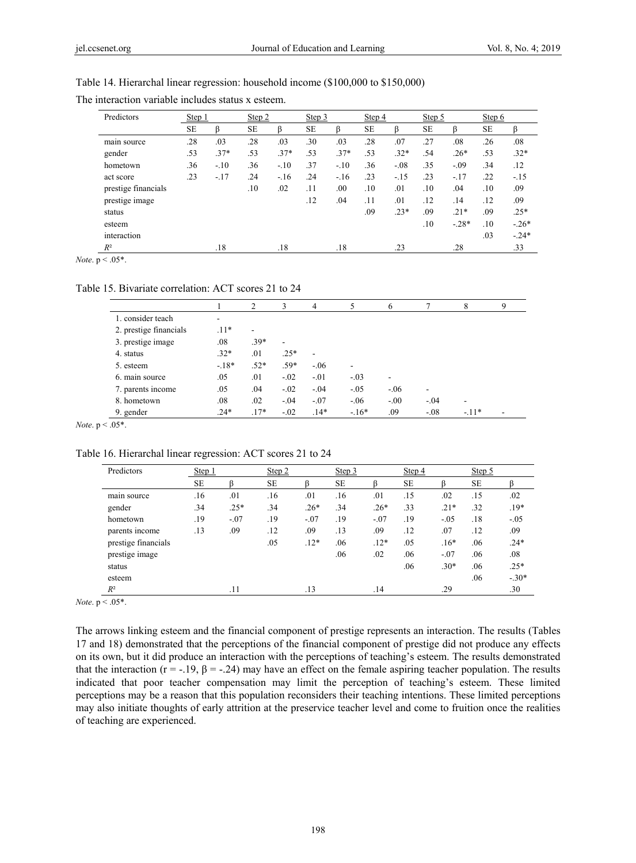| Table 14. Hierarchal linear regression: household income (\$100,000 to \$150,000) |  |  |  |  |
|-----------------------------------------------------------------------------------|--|--|--|--|
|-----------------------------------------------------------------------------------|--|--|--|--|

| Predictors          | Step 1    |        | Step 2    |        | Step 3    |        | Step 4    |        | Step 5    |         | Step 6    |         |
|---------------------|-----------|--------|-----------|--------|-----------|--------|-----------|--------|-----------|---------|-----------|---------|
|                     | <b>SE</b> | ß      | <b>SE</b> | β      | <b>SE</b> |        | <b>SE</b> | ß      | <b>SE</b> |         | <b>SE</b> |         |
| main source         | .28       | .03    | .28       | .03    | .30       | .03    | .28       | .07    | .27       | .08     | .26       | .08     |
| gender              | .53       | $.37*$ | .53       | $.37*$ | .53       | $.37*$ | .53       | $.32*$ | .54       | $.26*$  | .53       | $.32*$  |
| hometown            | .36       | $-.10$ | .36       | $-.10$ | .37       | $-.10$ | .36       | $-.08$ | .35       | $-.09$  | .34       | .12     |
| act score           | .23       | $-.17$ | .24       | $-16$  | .24       | $-.16$ | .23       | $-.15$ | .23       | $-.17$  | .22       | $-15$   |
| prestige financials |           |        | .10       | .02    | .11       | .00    | .10       | .01    | .10       | .04     | .10       | .09     |
| prestige image      |           |        |           |        | .12       | .04    | .11       | .01    | .12       | .14     | .12       | .09     |
| status              |           |        |           |        |           |        | .09       | $.23*$ | .09       | $.21*$  | .09       | $.25*$  |
| esteem              |           |        |           |        |           |        |           |        | .10       | $-.28*$ | .10       | $-.26*$ |
| interaction         |           |        |           |        |           |        |           |        |           |         | .03       | $-.24*$ |
| $R^2$               |           | .18    |           | .18    |           | .18    |           | .23    |           | .28     |           | .33     |

The interaction variable includes status x esteem.

*Note*.  $p < .05$ <sup>\*</sup>.

Table 15. Bivariate correlation: ACT scores 21 to 24

|                        |        | 2                        | 3                        | 4              | 5       | 6      |        | 8      | 9 |
|------------------------|--------|--------------------------|--------------------------|----------------|---------|--------|--------|--------|---|
| 1. consider teach      | ۰      |                          |                          |                |         |        |        |        |   |
| 2. prestige financials | $.11*$ | $\overline{\phantom{a}}$ |                          |                |         |        |        |        |   |
| 3. prestige image      | .08    | $39*$                    | $\overline{\phantom{a}}$ |                |         |        |        |        |   |
| 4. status              | $.32*$ | .01                      | $.25*$                   | $\blacksquare$ |         |        |        |        |   |
| 5. esteem              | $-18*$ | $.52*$                   | $.59*$                   | $-.06$         | ۰       |        |        |        |   |
| 6. main source         | .05    | .01                      | $-.02$                   | $-.01$         | $-.03$  | ۰      |        |        |   |
| 7. parents income      | .05    | .04                      | $-.02$                   | $-.04$         | $-.05$  | $-.06$ | ٠      |        |   |
| 8. hometown            | .08    | .02                      | $-.04$                   | $-.07$         | $-06$   | $-.00$ | $-.04$ |        |   |
| 9. gender              | $.24*$ | $.17*$                   | $-.02$                   | $.14*$         | $-.16*$ | .09    | $-.08$ | $-11*$ |   |

*Note*. p < .05\*.

Table 16. Hierarchal linear regression: ACT scores 21 to 24

| Predictors          | Step 1    |        | Step 2    |        | Step 3    |        | Step $4$  |        | Step 5 |         |
|---------------------|-----------|--------|-----------|--------|-----------|--------|-----------|--------|--------|---------|
|                     | <b>SE</b> |        | <b>SE</b> |        | <b>SE</b> |        | <b>SE</b> |        | SE     |         |
| main source         | .16       | .01    | .16       | .01    | .16       | .01    | .15       | .02    | .15    | .02     |
| gender              | .34       | $.25*$ | .34       | $.26*$ | .34       | $.26*$ | .33       | $.21*$ | .32    | $.19*$  |
| hometown            | .19       | $-.07$ | .19       | $-.07$ | .19       | $-.07$ | .19       | $-.05$ | .18    | $-.05$  |
| parents income      | .13       | .09    | .12       | .09    | .13       | .09    | .12       | .07    | .12    | .09     |
| prestige financials |           |        | .05       | $.12*$ | .06       | $.12*$ | .05       | $.16*$ | .06    | $.24*$  |
| prestige image      |           |        |           |        | .06       | .02    | .06       | $-.07$ | .06    | .08     |
| status              |           |        |           |        |           |        | .06       | $.30*$ | .06    | $.25*$  |
| esteem              |           |        |           |        |           |        |           |        | .06    | $-.30*$ |
| $R^2$               |           | .11    |           | .13    |           | .14    |           | .29    |        | .30     |

*Note*. p < .05\*.

The arrows linking esteem and the financial component of prestige represents an interaction. The results (Tables 17 and 18) demonstrated that the perceptions of the financial component of prestige did not produce any effects on its own, but it did produce an interaction with the perceptions of teaching's esteem. The results demonstrated that the interaction (r = -.19, β = -.24) may have an effect on the female aspiring teacher population. The results indicated that poor teacher compensation may limit the perception of teaching's esteem. These limited perceptions may be a reason that this population reconsiders their teaching intentions. These limited perceptions may also initiate thoughts of early attrition at the preservice teacher level and come to fruition once the realities of teaching are experienced.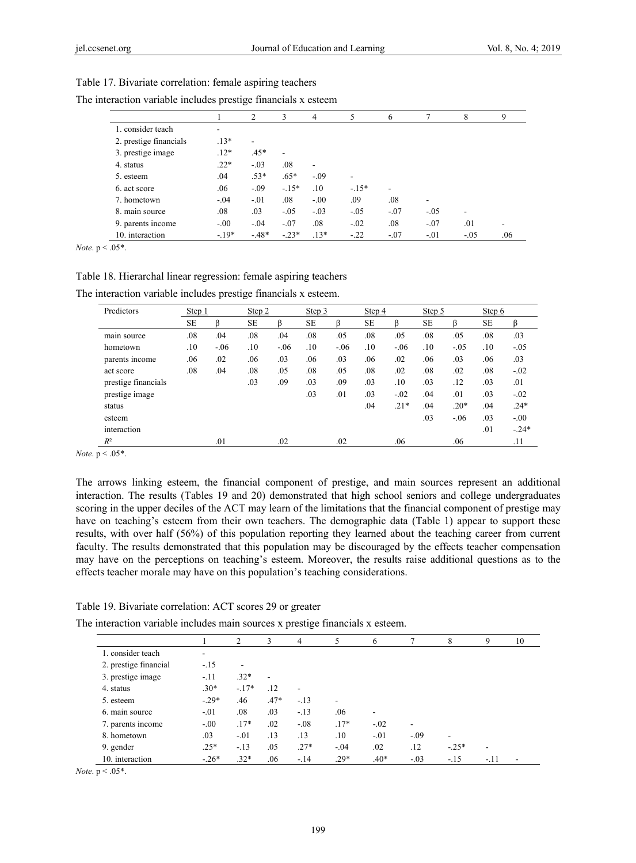|                        |        | $\overline{c}$           | 3       | 4                        | 5      | 6      |        | 8      | 9   |
|------------------------|--------|--------------------------|---------|--------------------------|--------|--------|--------|--------|-----|
| 1. consider teach      | ۰      |                          |         |                          |        |        |        |        |     |
| 2. prestige financials | $.13*$ | $\overline{\phantom{a}}$ |         |                          |        |        |        |        |     |
| 3. prestige image      | $.12*$ | $.45*$                   | ٠       |                          |        |        |        |        |     |
| 4. status              | $.22*$ | $-.03$                   | .08     | $\overline{\phantom{a}}$ |        |        |        |        |     |
| 5. esteem              | .04    | $.53*$                   | $.65*$  | $-.09$                   | ۰      |        |        |        |     |
| 6. act score           | .06    | $-.09$                   | $-15*$  | .10                      | $-15*$ | ٠      |        |        |     |
| 7. hometown            | $-.04$ | $-.01$                   | .08     | $-.00$                   | .09    | .08    | ٠      |        |     |
| 8. main source         | .08    | .03                      | $-.05$  | $-.03$                   | $-.05$ | $-.07$ | $-.05$ |        |     |
| 9. parents income      | $-.00$ | $-.04$                   | $-.07$  | .08                      | $-.02$ | .08    | $-.07$ | .01    |     |
| 10. interaction        | $-19*$ | $-48*$                   | $-.23*$ | $.13*$                   | $-22$  | $-.07$ | $-.01$ | $-.05$ | .06 |

Table 17. Bivariate correlation: female aspiring teachers The interaction variable includes prestige financials x esteem

*Note*. p < .05\*.

Table 18. Hierarchal linear regression: female aspiring teachers

The interaction variable includes prestige financials x esteem.

| Predictors          | Step 1    |        | Step 2    |        | Step 3    |        | Step 4    |        | Step $5$  |        | Step $6$  |         |
|---------------------|-----------|--------|-----------|--------|-----------|--------|-----------|--------|-----------|--------|-----------|---------|
|                     | <b>SE</b> | ß      | <b>SE</b> | ß      | <b>SE</b> | ß      | <b>SE</b> | ß      | <b>SE</b> |        | <b>SE</b> | ß       |
| main source         | .08       | .04    | .08       | .04    | .08       | .05    | .08       | .05    | .08       | .05    | .08       | .03     |
| hometown            | .10       | $-.06$ | .10       | $-.06$ | .10       | $-.06$ | .10       | $-.06$ | .10       | $-.05$ | .10       | $-.05$  |
| parents income      | .06       | .02    | .06       | .03    | .06       | .03    | .06       | .02    | .06       | .03    | .06       | .03     |
| act score           | .08       | .04    | .08       | .05    | .08       | .05    | .08       | .02    | .08       | .02    | .08       | $-.02$  |
| prestige financials |           |        | .03       | .09    | .03       | .09    | .03       | .10    | .03       | .12    | .03       | .01     |
| prestige image      |           |        |           |        | .03       | .01    | .03       | $-.02$ | .04       | .01    | .03       | $-.02$  |
| status              |           |        |           |        |           |        | .04       | $.21*$ | .04       | $.20*$ | .04       | $.24*$  |
| esteem              |           |        |           |        |           |        |           |        | .03       | $-.06$ | .03       | $-.00$  |
| interaction         |           |        |           |        |           |        |           |        |           |        | .01       | $-.24*$ |
| $R^2$               |           | .01    |           | .02    |           | .02    |           | .06    |           | .06    |           | .11     |

*Note*. p < .05\*.

The arrows linking esteem, the financial component of prestige, and main sources represent an additional interaction. The results (Tables 19 and 20) demonstrated that high school seniors and college undergraduates scoring in the upper deciles of the ACT may learn of the limitations that the financial component of prestige may have on teaching's esteem from their own teachers. The demographic data (Table 1) appear to support these results, with over half (56%) of this population reporting they learned about the teaching career from current faculty. The results demonstrated that this population may be discouraged by the effects teacher compensation may have on the perceptions on teaching's esteem. Moreover, the results raise additional questions as to the effects teacher morale may have on this population's teaching considerations.

#### Table 19. Bivariate correlation: ACT scores 29 or greater

The interaction variable includes main sources x prestige financials x esteem.

|                       |         | 2       | 3                        | 4      | 5                        | 6       |        | 8              | 9                        | 10 |
|-----------------------|---------|---------|--------------------------|--------|--------------------------|---------|--------|----------------|--------------------------|----|
| 1. consider teach     | ۰       |         |                          |        |                          |         |        |                |                          |    |
| 2. prestige financial | $-.15$  | ۰       |                          |        |                          |         |        |                |                          |    |
| 3. prestige image     | $-.11$  | $.32*$  | $\overline{\phantom{a}}$ |        |                          |         |        |                |                          |    |
| 4. status             | $.30*$  | $-.17*$ | .12                      | ۰      |                          |         |        |                |                          |    |
| 5. esteem             | $-.29*$ | .46     | $.47*$                   | $-.13$ | $\overline{\phantom{a}}$ |         |        |                |                          |    |
| 6. main source        | $-.01$  | .08     | .03                      | $-.13$ | .06                      | ۰       |        |                |                          |    |
| 7. parents income     | $-.00$  | $.17*$  | .02                      | $-.08$ | $.17*$                   | $-.02$  | ۰      |                |                          |    |
| 8. hometown           | .03     | $-.01$  | .13                      | .13    | .10                      | $-0.01$ | $-.09$ | $\blacksquare$ |                          |    |
| 9. gender             | $.25*$  | $-.13$  | .05                      | $.27*$ | $-.04$                   | .02     | .12    | $-.25*$        | $\overline{\phantom{a}}$ |    |
| 10. interaction       | $-.26*$ | $.32*$  | .06                      | $-.14$ | $.29*$                   | $.40*$  | $-.03$ | $-.15$         | $-.11$                   |    |

*Note*. p < .05\*.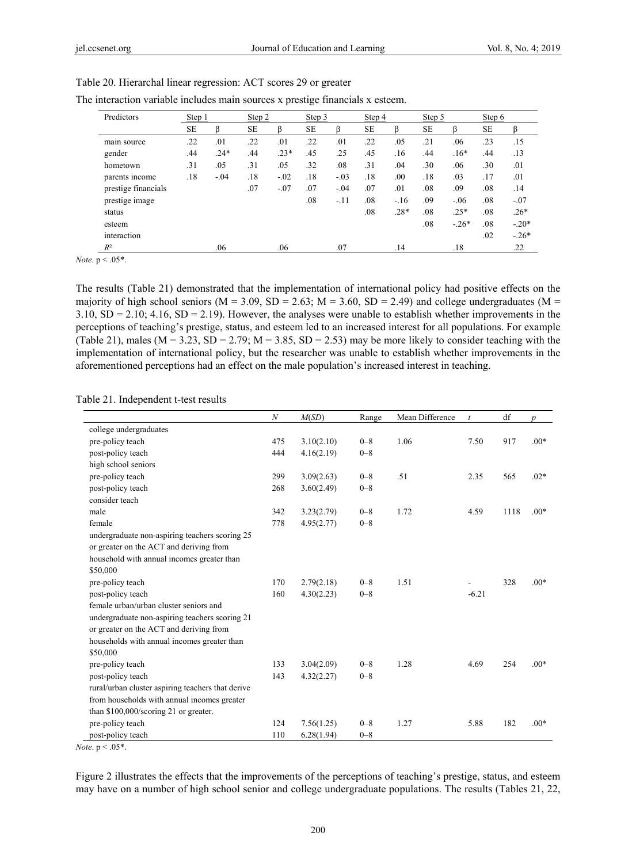| Predictors          | Step 1    |        | Step 2    |        | Step 3    |        | Step 4    |        | Step 5 |         | Step 6    |         |
|---------------------|-----------|--------|-----------|--------|-----------|--------|-----------|--------|--------|---------|-----------|---------|
|                     | <b>SE</b> | ß      | <b>SE</b> | ß      | <b>SE</b> | ß      | <b>SE</b> | ß      | SE     | ß       | <b>SE</b> | ß       |
| main source         | .22       | .01    | .22       | .01    | .22       | .01    | .22       | .05    | .21    | .06     | .23       | .15     |
| gender              | .44       | $.24*$ | .44       | $.23*$ | .45       | .25    | .45       | .16    | .44    | $.16*$  | .44       | .13     |
| hometown            | .31       | .05    | .31       | .05    | .32       | .08    | .31       | .04    | .30    | .06     | .30       | .01     |
| parents income      | .18       | $-.04$ | .18       | $-.02$ | .18       | $-.03$ | .18       | .00    | .18    | .03     | .17       | .01     |
| prestige financials |           |        | .07       | $-.07$ | .07       | $-.04$ | .07       | .01    | .08    | .09     | .08       | .14     |
| prestige image      |           |        |           |        | .08       | $-11$  | .08       | $-.16$ | .09    | $-.06$  | .08       | $-.07$  |
| status              |           |        |           |        |           |        | .08       | $.28*$ | .08    | $.25*$  | .08       | $.26*$  |
| esteem              |           |        |           |        |           |        |           |        | .08    | $-.26*$ | .08       | $-.20*$ |
| interaction         |           |        |           |        |           |        |           |        |        |         | .02       | $-.26*$ |
| $R^2$               |           | .06    |           | .06    |           | .07    |           | .14    |        | .18     |           | .22     |

Table 20. Hierarchal linear regression: ACT scores 29 or greater

| The interaction variable includes main sources x prestige financials x esteem. |
|--------------------------------------------------------------------------------|
|--------------------------------------------------------------------------------|

*Note*.  $p < .05$ <sup>\*</sup>.

The results (Table 21) demonstrated that the implementation of international policy had positive effects on the majority of high school seniors ( $M = 3.09$ ,  $SD = 2.63$ ;  $M = 3.60$ ,  $SD = 2.49$ ) and college undergraduates ( $M =$ 3.10, SD = 2.10; 4.16, SD = 2.19). However, the analyses were unable to establish whether improvements in the perceptions of teaching's prestige, status, and esteem led to an increased interest for all populations. For example (Table 21), males ( $M = 3.23$ ,  $SD = 2.79$ ;  $M = 3.85$ ,  $SD = 2.53$ ) may be more likely to consider teaching with the implementation of international policy, but the researcher was unable to establish whether improvements in the aforementioned perceptions had an effect on the male population's increased interest in teaching.

Table 21. Independent t-test results

|                                                   | $\boldsymbol{N}$ | M(SD)      | Range   | Mean Difference | $\boldsymbol{t}$ | df   | $\boldsymbol{p}$ |
|---------------------------------------------------|------------------|------------|---------|-----------------|------------------|------|------------------|
| college undergraduates                            |                  |            |         |                 |                  |      |                  |
| pre-policy teach                                  | 475              | 3.10(2.10) | $0 - 8$ | 1.06            | 7.50             | 917  | $.00*$           |
| post-policy teach                                 | 444              | 4.16(2.19) | $0 - 8$ |                 |                  |      |                  |
| high school seniors                               |                  |            |         |                 |                  |      |                  |
| pre-policy teach                                  | 299              | 3.09(2.63) | $0 - 8$ | .51             | 2.35             | 565  | $.02*$           |
| post-policy teach                                 | 268              | 3.60(2.49) | $0 - 8$ |                 |                  |      |                  |
| consider teach                                    |                  |            |         |                 |                  |      |                  |
| male                                              | 342              | 3.23(2.79) | $0 - 8$ | 1.72            | 4.59             | 1118 | $.00*$           |
| female                                            | 778              | 4.95(2.77) | $0 - 8$ |                 |                  |      |                  |
| undergraduate non-aspiring teachers scoring 25    |                  |            |         |                 |                  |      |                  |
| or greater on the ACT and deriving from           |                  |            |         |                 |                  |      |                  |
| household with annual incomes greater than        |                  |            |         |                 |                  |      |                  |
| \$50,000                                          |                  |            |         |                 |                  |      |                  |
| pre-policy teach                                  | 170              | 2.79(2.18) | $0 - 8$ | 1.51            |                  | 328  | $.00*$           |
| post-policy teach                                 | 160              | 4.30(2.23) | $0 - 8$ |                 | $-6.21$          |      |                  |
| female urban/urban cluster seniors and            |                  |            |         |                 |                  |      |                  |
| undergraduate non-aspiring teachers scoring 21    |                  |            |         |                 |                  |      |                  |
| or greater on the ACT and deriving from           |                  |            |         |                 |                  |      |                  |
| households with annual incomes greater than       |                  |            |         |                 |                  |      |                  |
| \$50,000                                          |                  |            |         |                 |                  |      |                  |
| pre-policy teach                                  | 133              | 3.04(2.09) | $0 - 8$ | 1.28            | 4.69             | 254  | $.00*$           |
| post-policy teach                                 | 143              | 4.32(2.27) | $0 - 8$ |                 |                  |      |                  |
| rural/urban cluster aspiring teachers that derive |                  |            |         |                 |                  |      |                  |
| from households with annual incomes greater       |                  |            |         |                 |                  |      |                  |
| than $$100,000$ /scoring 21 or greater.           |                  |            |         |                 |                  |      |                  |
| pre-policy teach                                  | 124              | 7.56(1.25) | $0 - 8$ | 1.27            | 5.88             | 182  | $.00*$           |
| post-policy teach                                 | 110              | 6.28(1.94) | $0 - 8$ |                 |                  |      |                  |

*Note*. p < .05\*.

Figure 2 illustrates the effects that the improvements of the perceptions of teaching's prestige, status, and esteem may have on a number of high school senior and college undergraduate populations. The results (Tables 21, 22,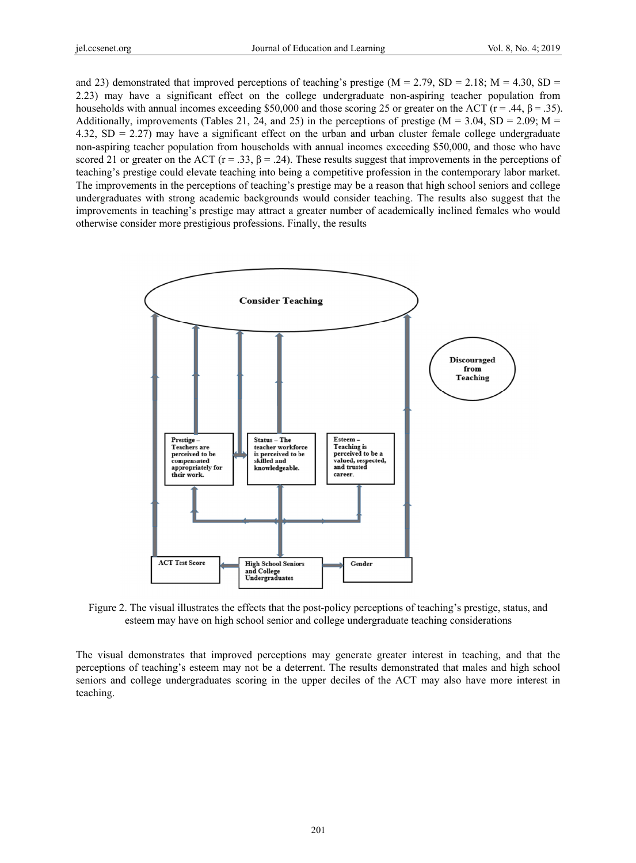and 23) demonstrated that improved perceptions of teaching's prestige ( $M = 2.79$ ,  $SD = 2.18$ ;  $M = 4.30$ ,  $SD = 2.18$ 2.23) may have a significant effect on the college undergraduate non-aspiring teacher population from households with annual incomes exceeding \$50,000 and those scoring 25 or greater on the ACT ( $r = .44$ ,  $\beta = .35$ ). Additionally, improvements (Tables 21, 24, and 25) in the perceptions of prestige ( $M = 3.04$ ,  $SD = 2.09$ ;  $M =$  $4.32$ , SD = 2.27) may have a significant effect on the urban and urban cluster female college undergraduate non-aspiring teacher population from households with annual incomes exceeding \$50,000, and those who have scored 21 or greater on the ACT ( $r = .33$ ,  $\beta = .24$ ). These results suggest that improvements in the perceptions of teaching's prestige could elevate teaching into being a competitive profession in the contemporary labor market. The improvements in the perceptions of teaching's prestige may be a reason that high school seniors and college undergraduates with strong academic backgrounds would consider teaching. The results also suggest that the improvements in teaching's prestige may attract a greater number of academically inclined females who would otherwise consider more prestigious professions. Finally, the results



Figure 2. The visual illustrates the effects that the post-policy perceptions of teaching's prestige, status, and esteem may have on high school senior and college undergraduate teaching considerations

The visual demonstrates that improved perceptions may generate greater interest in teaching, and that the perceptions of teaching's esteem may not be a deterrent. The results demonstrated that males and high school seniors and college undergraduates scoring in the upper deciles of the ACT may also have more interest in teaching.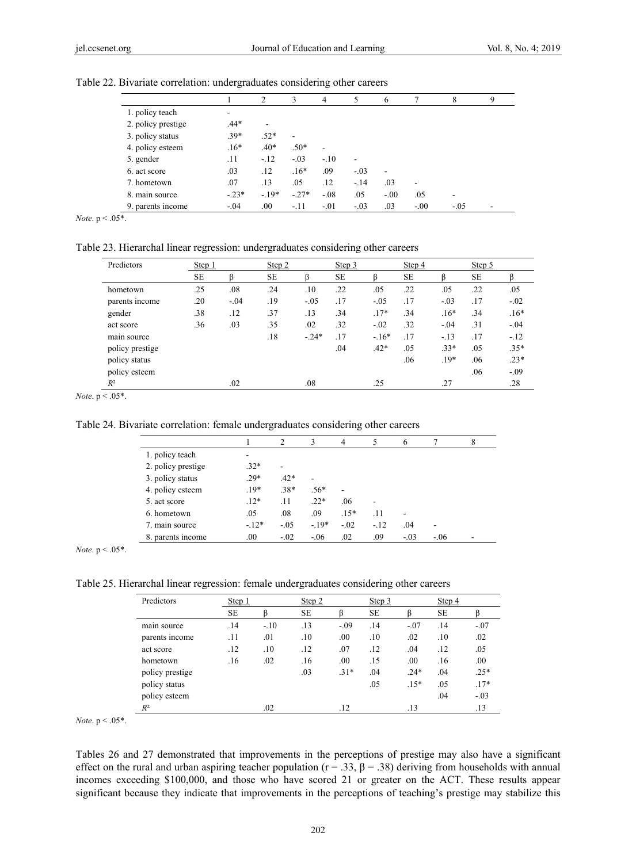|                    |         | 2       | 3       | $\overline{4}$ | 5      | 6       |                          | 8      | 9 |
|--------------------|---------|---------|---------|----------------|--------|---------|--------------------------|--------|---|
| 1. policy teach    | -       |         |         |                |        |         |                          |        |   |
| 2. policy prestige | $.44*$  |         |         |                |        |         |                          |        |   |
| 3. policy status   | $.39*$  | $.52*$  | ۰       |                |        |         |                          |        |   |
| 4. policy esteem   | $.16*$  | $.40*$  | $.50*$  | ۰              |        |         |                          |        |   |
| 5. gender          | .11     | $-12$   | $-.03$  | $-.10$         |        |         |                          |        |   |
| 6. act score       | .03     | .12     | $.16*$  | .09            | $-.03$ |         |                          |        |   |
| 7. hometown        | .07     | .13     | .05     | .12            | $-.14$ | .03     | $\overline{\phantom{a}}$ |        |   |
| 8. main source     | $-.23*$ | $-19*$  | $-.27*$ | $-.08$         | .05    | $-0.00$ | .05                      |        |   |
| 9. parents income  | $-.04$  | $.00\,$ | $-.11$  | $-.01$         | $-.03$ | .03     | $-.00$                   | $-.05$ |   |

#### Table 22. Bivariate correlation: undergraduates considering other careers

*Note*. p < .05\*.

Table 23. Hierarchal linear regression: undergraduates considering other careers

| Predictors      | Step 1    |        | Step 2    |         | Step 3    |        | Step 4    |        | Step 5    |        |
|-----------------|-----------|--------|-----------|---------|-----------|--------|-----------|--------|-----------|--------|
|                 | <b>SE</b> |        | <b>SE</b> |         | <b>SE</b> |        | <b>SE</b> |        | <b>SE</b> |        |
| hometown        | .25       | .08    | .24       | .10     | .22       | .05    | .22       | .05    | .22       | .05    |
| parents income  | .20       | $-.04$ | .19       | $-.05$  | .17       | $-.05$ | .17       | $-.03$ | .17       | $-.02$ |
| gender          | .38       | .12    | .37       | .13     | .34       | $.17*$ | .34       | $.16*$ | .34       | $.16*$ |
| act score       | .36       | .03    | .35       | .02     | .32       | $-.02$ | .32       | $-.04$ | .31       | $-.04$ |
| main source     |           |        | .18       | $-.24*$ | .17       | $-16*$ | .17       | $-.13$ | .17       | $-.12$ |
| policy prestige |           |        |           |         | .04       | $.42*$ | .05       | $.33*$ | .05       | $.35*$ |
| policy status   |           |        |           |         |           |        | .06       | $.19*$ | .06       | $.23*$ |
| policy esteem   |           |        |           |         |           |        |           |        | .06       | $-.09$ |
| $R^2$           |           | .02    |           | .08     |           | .25    |           | .27    |           | .28    |

*Note*. p < .05\*.

Table 24. Bivariate correlation: female undergraduates considering other careers

|                    |        | 2      | 3      | 4      |        | 6      |        | 8 |
|--------------------|--------|--------|--------|--------|--------|--------|--------|---|
| 1. policy teach    | -      |        |        |        |        |        |        |   |
| 2. policy prestige | $.32*$ | ۰      |        |        |        |        |        |   |
| 3. policy status   | $.29*$ | $.42*$ | ۰      |        |        |        |        |   |
| 4. policy esteem   | $.19*$ | $.38*$ | $.56*$ | ۰      |        |        |        |   |
| 5. act score       | $.12*$ | .11    | $.22*$ | .06    | ۰      |        |        |   |
| 6. hometown        | .05    | .08    | .09    | $.15*$ | .11    |        |        |   |
| 7. main source     | $-12*$ | $-.05$ | $-19*$ | $-.02$ | $-.12$ | .04    | ۰      |   |
| 8. parents income  | .00.   | $-.02$ | $-06$  | .02    | .09    | $-.03$ | $-.06$ |   |

*Note*. p < .05\*.

Table 25. Hierarchal linear regression: female undergraduates considering other careers

| Predictors      | Step 1    |        | Step 2 |        | Step 3 |        | Step 4 |        |
|-----------------|-----------|--------|--------|--------|--------|--------|--------|--------|
|                 | <b>SE</b> |        | SЕ     |        | SЕ     |        | SЕ     |        |
| main source     | .14       | $-.10$ | .13    | $-.09$ | .14    | $-.07$ | .14    | $-.07$ |
| parents income  | .11       | .01    | .10    | .00.   | .10    | .02    | .10    | .02    |
| act score       | .12       | .10    | .12    | .07    | .12    | .04    | .12    | .05    |
| hometown        | .16       | .02    | .16    | .00.   | .15    | .00.   | .16    | .00    |
| policy prestige |           |        | .03    | $31*$  | .04    | $.24*$ | .04    | $.25*$ |
| policy status   |           |        |        |        | .05    | $.15*$ | .05    | $.17*$ |
| policy esteem   |           |        |        |        |        |        | .04    | $-.03$ |
| $R^2$           |           | .02    |        | .12    |        | .13    |        | .13    |

*Note*.  $p < .05$ <sup>\*</sup>.

Tables 26 and 27 demonstrated that improvements in the perceptions of prestige may also have a significant effect on the rural and urban aspiring teacher population ( $r = .33$ ,  $\beta = .38$ ) deriving from households with annual incomes exceeding \$100,000, and those who have scored 21 or greater on the ACT. These results appear significant because they indicate that improvements in the perceptions of teaching's prestige may stabilize this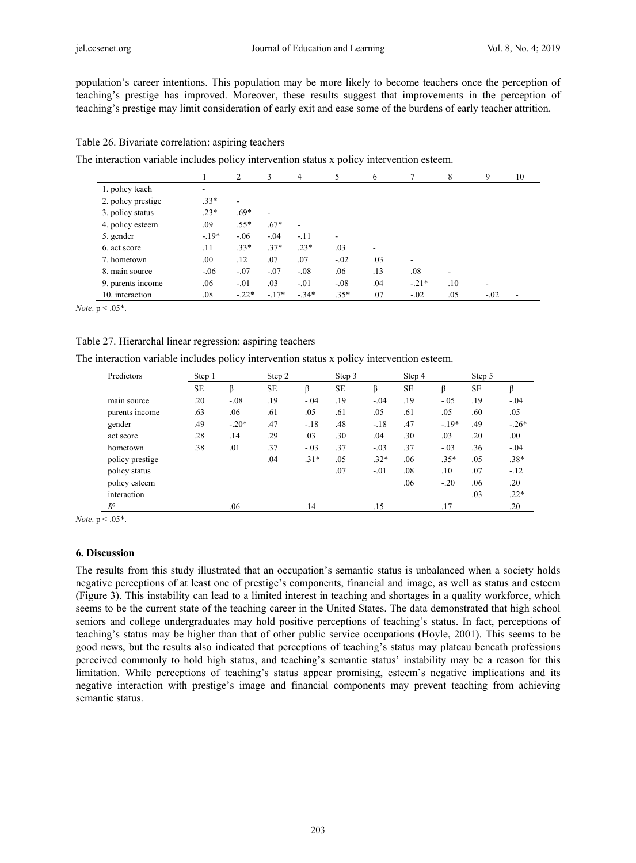population's career intentions. This population may be more likely to become teachers once the perception of teaching's prestige has improved. Moreover, these results suggest that improvements in the perception of teaching's prestige may limit consideration of early exit and ease some of the burdens of early teacher attrition.

# Table 26. Bivariate correlation: aspiring teachers

The interaction variable includes policy intervention status x policy intervention esteem.

|                    |         | 2       | 3                        | 4                            | 5      | 6   |         | 8   | 9      | 10 |
|--------------------|---------|---------|--------------------------|------------------------------|--------|-----|---------|-----|--------|----|
| 1. policy teach    | ۰       |         |                          |                              |        |     |         |     |        |    |
| 2. policy prestige | $.33*$  | ۰       |                          |                              |        |     |         |     |        |    |
| 3. policy status   | $.23*$  | $.69*$  | $\overline{\phantom{a}}$ |                              |        |     |         |     |        |    |
| 4. policy esteem   | .09     | $.55*$  | $.67*$                   | $\qquad \qquad \blacksquare$ |        |     |         |     |        |    |
| 5. gender          | $-.19*$ | $-0.06$ | $-.04$                   | $-.11$                       |        |     |         |     |        |    |
| 6. act score       | .11     | $.33*$  | $.37*$                   | $.23*$                       | .03    | ۰   |         |     |        |    |
| 7. hometown        | .00     | .12     | .07                      | .07                          | $-.02$ | .03 | ۰       |     |        |    |
| 8. main source     | $-.06$  | $-.07$  | $-.07$                   | $-.08$                       | .06    | .13 | .08     |     |        |    |
| 9. parents income  | .06     | $-.01$  | .03                      | $-.01$                       | $-.08$ | .04 | $-.21*$ | .10 | ۰      |    |
| 10. interaction    | .08     | $-.22*$ | $-17*$                   | $-.34*$                      | $.35*$ | .07 | $-.02$  | .05 | $-.02$ |    |

*Note*.  $p < .05$ \*.

## Table 27. Hierarchal linear regression: aspiring teachers

The interaction variable includes policy intervention status x policy intervention esteem.

| Predictors      | Step 1    |         | Step 2 |        | Step 3    |        | Step 4    |         | Step 5    |        |
|-----------------|-----------|---------|--------|--------|-----------|--------|-----------|---------|-----------|--------|
|                 | <b>SE</b> | β       | SE     |        | <b>SE</b> | ß      | <b>SE</b> |         | <b>SE</b> |        |
| main source     | .20       | $-.08$  | .19    | $-.04$ | .19       | $-.04$ | .19       | $-.05$  | .19       | $-.04$ |
| parents income  | .63       | .06     | .61    | .05    | .61       | .05    | .61       | .05     | .60       | .05    |
| gender          | .49       | $-.20*$ | .47    | $-.18$ | .48       | $-.18$ | .47       | $-.19*$ | .49       | $-26*$ |
| act score       | .28       | .14     | .29    | .03    | .30       | .04    | .30       | .03     | .20       | .00.   |
| hometown        | .38       | .01     | .37    | $-.03$ | .37       | $-.03$ | .37       | $-.03$  | .36       | $-.04$ |
| policy prestige |           |         | .04    | $.31*$ | .05       | $.32*$ | .06       | $.35*$  | .05       | .38*   |
| policy status   |           |         |        |        | .07       | $-.01$ | .08       | .10     | .07       | $-.12$ |
| policy esteem   |           |         |        |        |           |        | .06       | $-.20$  | .06       | .20    |
| interaction     |           |         |        |        |           |        |           |         | .03       | $.22*$ |
| $R^2$           |           | .06     |        | .14    |           | .15    |           | .17     |           | .20    |

*Note*. p < .05\*.

## **6. Discussion**

The results from this study illustrated that an occupation's semantic status is unbalanced when a society holds negative perceptions of at least one of prestige's components, financial and image, as well as status and esteem (Figure 3). This instability can lead to a limited interest in teaching and shortages in a quality workforce, which seems to be the current state of the teaching career in the United States. The data demonstrated that high school seniors and college undergraduates may hold positive perceptions of teaching's status. In fact, perceptions of teaching's status may be higher than that of other public service occupations (Hoyle, 2001). This seems to be good news, but the results also indicated that perceptions of teaching's status may plateau beneath professions perceived commonly to hold high status, and teaching's semantic status' instability may be a reason for this limitation. While perceptions of teaching's status appear promising, esteem's negative implications and its negative interaction with prestige's image and financial components may prevent teaching from achieving semantic status.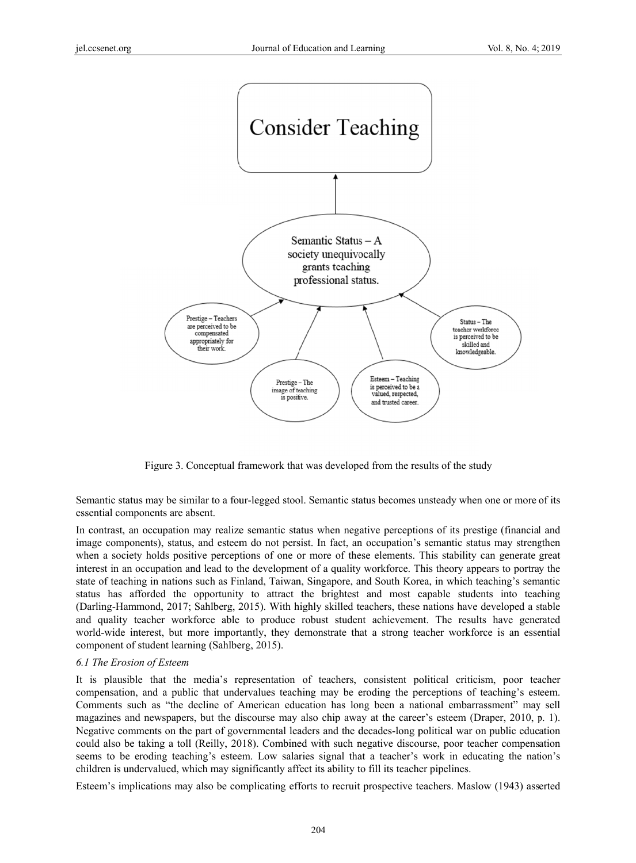

Figure 3. Conceptual framework that was developed from the results of the study

Semantic status may be similar to a four-legged stool. Semantic status becomes unsteady when one or more of its essential components are absent.

In contrast, an occupation may realize semantic status when negative perceptions of its prestige (financial and image components), status, and esteem do not persist. In fact, an occupation's semantic status may strengthen when a society holds positive perceptions of one or more of these elements. This stability can generate great interest in an occupation and lead to the development of a quality workforce. This theory appears to portray the state of teaching in nations such as Finland, Taiwan, Singapore, and South Korea, in which teaching's semantic status has afforded the opportunity to attract the brightest and most capable students into teaching (Darling-Hammond, 2017; Sahlberg, 2015). With highly skilled teachers, these nations have developed a stable and quality teacher workforce able to produce robust student achievement. The results have generated world-wide interest, but more importantly, they demonstrate that a strong teacher workforce is an essential component of student learning (Sahlberg, 2015).

## 6.1 The Erosion of Esteem

It is plausible that the media's representation of teachers, consistent political criticism, poor teacher compensation, and a public that undervalues teaching may be eroding the perceptions of teaching's esteem. Comments such as "the decline of American education has long been a national embarrassment" may sell magazines and newspapers, but the discourse may also chip away at the career's esteem (Draper, 2010, p. 1). Negative comments on the part of governmental leaders and the decades-long political war on public education could also be taking a toll (Reilly, 2018). Combined with such negative discourse, poor teacher compensation seems to be eroding teaching's esteem. Low salaries signal that a teacher's work in educating the nation's children is undervalued, which may significantly affect its ability to fill its teacher pipelines.

Esteem's implications may also be complicating efforts to recruit prospective teachers. Maslow (1943) asserted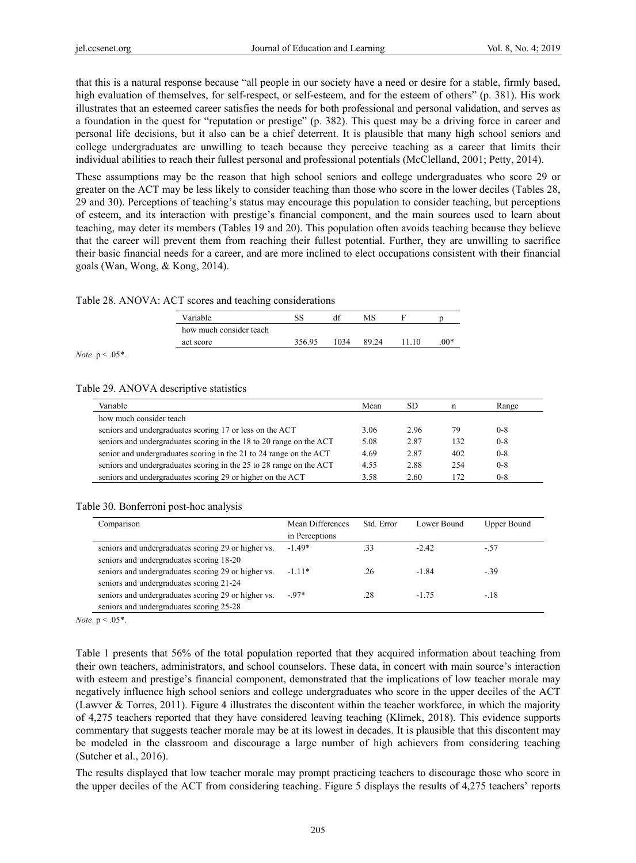that this is a natural response because "all people in our society have a need or desire for a stable, firmly based, high evaluation of themselves, for self-respect, or self-esteem, and for the esteem of others" (p. 381). His work illustrates that an esteemed career satisfies the needs for both professional and personal validation, and serves as a foundation in the quest for "reputation or prestige" (p. 382). This quest may be a driving force in career and personal life decisions, but it also can be a chief deterrent. It is plausible that many high school seniors and college undergraduates are unwilling to teach because they perceive teaching as a career that limits their individual abilities to reach their fullest personal and professional potentials (McClelland, 2001; Petty, 2014).

These assumptions may be the reason that high school seniors and college undergraduates who score 29 or greater on the ACT may be less likely to consider teaching than those who score in the lower deciles (Tables 28, 29 and 30). Perceptions of teaching's status may encourage this population to consider teaching, but perceptions of esteem, and its interaction with prestige's financial component, and the main sources used to learn about teaching, may deter its members (Tables 19 and 20). This population often avoids teaching because they believe that the career will prevent them from reaching their fullest potential. Further, they are unwilling to sacrifice their basic financial needs for a career, and are more inclined to elect occupations consistent with their financial goals (Wan, Wong, & Kong, 2014).

#### Table 28. ANOVA: ACT scores and teaching considerations

| Variable                | SS     |      | MS    |        |
|-------------------------|--------|------|-------|--------|
| how much consider teach |        |      |       |        |
| act score               | 356.95 | 1034 | 89.24 | $.00*$ |

*Note*. p < .05\*.

#### Table 29. ANOVA descriptive statistics

| Variable                                                            | Mean | SD   | n   | Range   |
|---------------------------------------------------------------------|------|------|-----|---------|
| how much consider teach                                             |      |      |     |         |
| seniors and undergraduates scoring 17 or less on the ACT            | 3.06 | 2.96 | 79  | $0 - 8$ |
| seniors and undergraduates scoring in the 18 to 20 range on the ACT | 5.08 | 2.87 | 132 | $0 - 8$ |
| senior and undergraduates scoring in the 21 to 24 range on the ACT  | 4.69 | 2.87 | 402 | $0 - 8$ |
| seniors and undergraduates scoring in the 25 to 28 range on the ACT | 4.55 | 2.88 | 254 | $0 - 8$ |
| seniors and undergraduates scoring 29 or higher on the ACT          | 3.58 | 2.60 | 172 | $0 - 8$ |

#### Table 30. Bonferroni post-hoc analysis

| Comparison                                                                                      | Mean Differences<br>in Perceptions | Std. Error | Lower Bound | <b>Upper Bound</b> |
|-------------------------------------------------------------------------------------------------|------------------------------------|------------|-------------|--------------------|
| seniors and undergraduates scoring 29 or higher vs.<br>seniors and undergraduates scoring 18-20 | $-1.49*$                           | 33         | $-2.42$     | $-57$              |
| seniors and undergraduates scoring 29 or higher vs.<br>seniors and undergraduates scoring 21-24 | $-111*$                            | .26        | $-1.84$     | $-39$              |
| seniors and undergraduates scoring 29 or higher vs.<br>seniors and undergraduates scoring 25-28 | $-97*$                             | .28        | $-175$      | $-18$              |

*Note*.  $p < .05$ <sup>\*</sup>.

Table 1 presents that 56% of the total population reported that they acquired information about teaching from their own teachers, administrators, and school counselors. These data, in concert with main source's interaction with esteem and prestige's financial component, demonstrated that the implications of low teacher morale may negatively influence high school seniors and college undergraduates who score in the upper deciles of the ACT (Lawver & Torres, 2011). Figure 4 illustrates the discontent within the teacher workforce, in which the majority of 4,275 teachers reported that they have considered leaving teaching (Klimek, 2018). This evidence supports commentary that suggests teacher morale may be at its lowest in decades. It is plausible that this discontent may be modeled in the classroom and discourage a large number of high achievers from considering teaching (Sutcher et al., 2016).

The results displayed that low teacher morale may prompt practicing teachers to discourage those who score in the upper deciles of the ACT from considering teaching. Figure 5 displays the results of 4,275 teachers' reports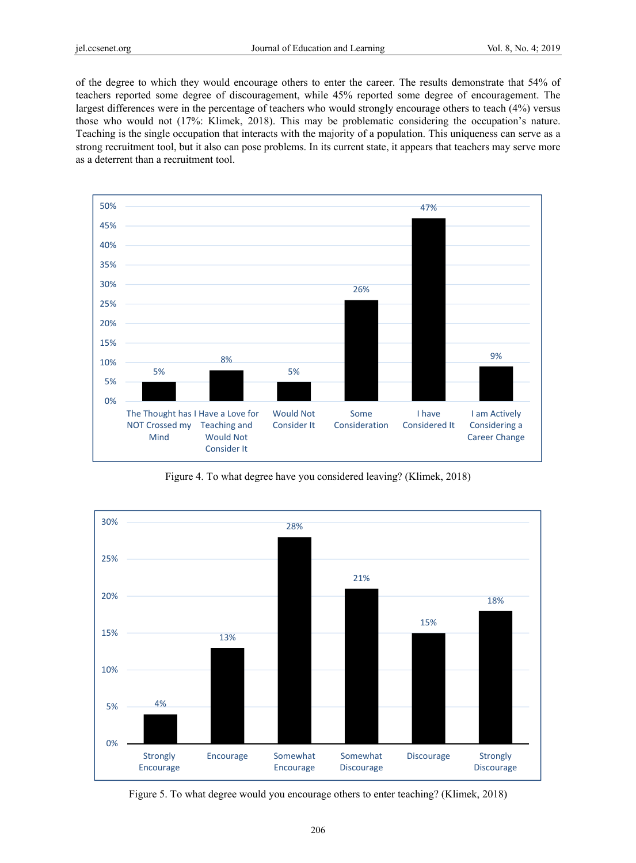of the degree to which they would encourage others to enter the career. The results demonstrate that 54% of teachers reported some degree of discouragement, while 45% reported some degree of encouragement. The largest differences were in the percentage of teachers who would strongly encourage others to teach (4%) versus those who would not (17%: Klimek, 2018). This may be problematic considering the occupation's nature. Teaching is the single occupation that interacts with the majority of a population. This uniqueness can serve as a strong recruitment tool, but it also can pose problems. In its current state, it appears that teachers may serve more as a deterrent than a recruitment tool.



Figure 4. To what degree have you considered leaving? (Klimek, 2018)



Figure 5. To what degree would you encourage others to enter teaching? (Klimek, 2018)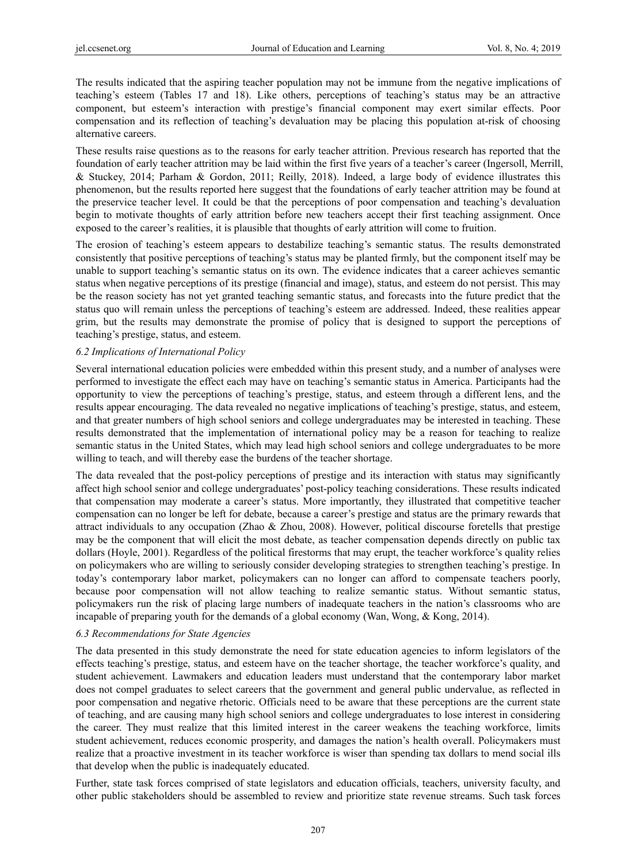The results indicated that the aspiring teacher population may not be immune from the negative implications of teaching's esteem (Tables 17 and 18). Like others, perceptions of teaching's status may be an attractive component, but esteem's interaction with prestige's financial component may exert similar effects. Poor compensation and its reflection of teaching's devaluation may be placing this population at-risk of choosing alternative careers.

These results raise questions as to the reasons for early teacher attrition. Previous research has reported that the foundation of early teacher attrition may be laid within the first five years of a teacher's career (Ingersoll, Merrill, & Stuckey, 2014; Parham & Gordon, 2011; Reilly, 2018). Indeed, a large body of evidence illustrates this phenomenon, but the results reported here suggest that the foundations of early teacher attrition may be found at the preservice teacher level. It could be that the perceptions of poor compensation and teaching's devaluation begin to motivate thoughts of early attrition before new teachers accept their first teaching assignment. Once exposed to the career's realities, it is plausible that thoughts of early attrition will come to fruition.

The erosion of teaching's esteem appears to destabilize teaching's semantic status. The results demonstrated consistently that positive perceptions of teaching's status may be planted firmly, but the component itself may be unable to support teaching's semantic status on its own. The evidence indicates that a career achieves semantic status when negative perceptions of its prestige (financial and image), status, and esteem do not persist. This may be the reason society has not yet granted teaching semantic status, and forecasts into the future predict that the status quo will remain unless the perceptions of teaching's esteem are addressed. Indeed, these realities appear grim, but the results may demonstrate the promise of policy that is designed to support the perceptions of teaching's prestige, status, and esteem.

## *6.2 Implications of International Policy*

Several international education policies were embedded within this present study, and a number of analyses were performed to investigate the effect each may have on teaching's semantic status in America. Participants had the opportunity to view the perceptions of teaching's prestige, status, and esteem through a different lens, and the results appear encouraging. The data revealed no negative implications of teaching's prestige, status, and esteem, and that greater numbers of high school seniors and college undergraduates may be interested in teaching. These results demonstrated that the implementation of international policy may be a reason for teaching to realize semantic status in the United States, which may lead high school seniors and college undergraduates to be more willing to teach, and will thereby ease the burdens of the teacher shortage.

The data revealed that the post-policy perceptions of prestige and its interaction with status may significantly affect high school senior and college undergraduates' post-policy teaching considerations. These results indicated that compensation may moderate a career's status. More importantly, they illustrated that competitive teacher compensation can no longer be left for debate, because a career's prestige and status are the primary rewards that attract individuals to any occupation (Zhao & Zhou, 2008). However, political discourse foretells that prestige may be the component that will elicit the most debate, as teacher compensation depends directly on public tax dollars (Hoyle, 2001). Regardless of the political firestorms that may erupt, the teacher workforce's quality relies on policymakers who are willing to seriously consider developing strategies to strengthen teaching's prestige. In today's contemporary labor market, policymakers can no longer can afford to compensate teachers poorly, because poor compensation will not allow teaching to realize semantic status. Without semantic status, policymakers run the risk of placing large numbers of inadequate teachers in the nation's classrooms who are incapable of preparing youth for the demands of a global economy (Wan, Wong, & Kong, 2014).

# *6.3 Recommendations for State Agencies*

The data presented in this study demonstrate the need for state education agencies to inform legislators of the effects teaching's prestige, status, and esteem have on the teacher shortage, the teacher workforce's quality, and student achievement. Lawmakers and education leaders must understand that the contemporary labor market does not compel graduates to select careers that the government and general public undervalue, as reflected in poor compensation and negative rhetoric. Officials need to be aware that these perceptions are the current state of teaching, and are causing many high school seniors and college undergraduates to lose interest in considering the career. They must realize that this limited interest in the career weakens the teaching workforce, limits student achievement, reduces economic prosperity, and damages the nation's health overall. Policymakers must realize that a proactive investment in its teacher workforce is wiser than spending tax dollars to mend social ills that develop when the public is inadequately educated.

Further, state task forces comprised of state legislators and education officials, teachers, university faculty, and other public stakeholders should be assembled to review and prioritize state revenue streams. Such task forces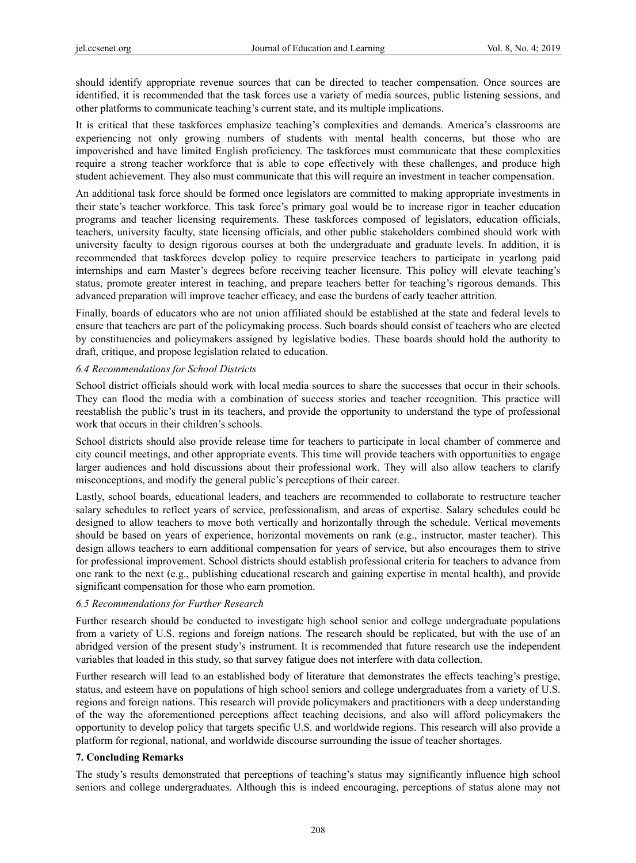should identify appropriate revenue sources that can be directed to teacher compensation. Once sources are identified, it is recommended that the task forces use a variety of media sources, public listening sessions, and other platforms to communicate teaching's current state, and its multiple implications.

It is critical that these taskforces emphasize teaching's complexities and demands. America's classrooms are experiencing not only growing numbers of students with mental health concerns, but those who are impoverished and have limited English proficiency. The taskforces must communicate that these complexities require a strong teacher workforce that is able to cope effectively with these challenges, and produce high student achievement. They also must communicate that this will require an investment in teacher compensation.

An additional task force should be formed once legislators are committed to making appropriate investments in their state's teacher workforce. This task force's primary goal would be to increase rigor in teacher education programs and teacher licensing requirements. These taskforces composed of legislators, education officials, teachers, university faculty, state licensing officials, and other public stakeholders combined should work with university faculty to design rigorous courses at both the undergraduate and graduate levels. In addition, it is recommended that taskforces develop policy to require preservice teachers to participate in yearlong paid internships and earn Master's degrees before receiving teacher licensure. This policy will elevate teaching's status, promote greater interest in teaching, and prepare teachers better for teaching's rigorous demands. This advanced preparation will improve teacher efficacy, and ease the burdens of early teacher attrition.

Finally, boards of educators who are not union affiliated should be established at the state and federal levels to ensure that teachers are part of the policymaking process. Such boards should consist of teachers who are elected by constituencies and policymakers assigned by legislative bodies. These boards should hold the authority to draft, critique, and propose legislation related to education.

## *6.4 Recommendations for School Districts*

School district officials should work with local media sources to share the successes that occur in their schools. They can flood the media with a combination of success stories and teacher recognition. This practice will reestablish the public's trust in its teachers, and provide the opportunity to understand the type of professional work that occurs in their children's schools.

School districts should also provide release time for teachers to participate in local chamber of commerce and city council meetings, and other appropriate events. This time will provide teachers with opportunities to engage larger audiences and hold discussions about their professional work. They will also allow teachers to clarify misconceptions, and modify the general public's perceptions of their career.

Lastly, school boards, educational leaders, and teachers are recommended to collaborate to restructure teacher salary schedules to reflect years of service, professionalism, and areas of expertise. Salary schedules could be designed to allow teachers to move both vertically and horizontally through the schedule. Vertical movements should be based on years of experience, horizontal movements on rank (e.g., instructor, master teacher). This design allows teachers to earn additional compensation for years of service, but also encourages them to strive for professional improvement. School districts should establish professional criteria for teachers to advance from one rank to the next (e.g., publishing educational research and gaining expertise in mental health), and provide significant compensation for those who earn promotion.

## *6.5 Recommendations for Further Research*

Further research should be conducted to investigate high school senior and college undergraduate populations from a variety of U.S. regions and foreign nations. The research should be replicated, but with the use of an abridged version of the present study's instrument. It is recommended that future research use the independent variables that loaded in this study, so that survey fatigue does not interfere with data collection.

Further research will lead to an established body of literature that demonstrates the effects teaching's prestige, status, and esteem have on populations of high school seniors and college undergraduates from a variety of U.S. regions and foreign nations. This research will provide policymakers and practitioners with a deep understanding of the way the aforementioned perceptions affect teaching decisions, and also will afford policymakers the opportunity to develop policy that targets specific U.S. and worldwide regions. This research will also provide a platform for regional, national, and worldwide discourse surrounding the issue of teacher shortages.

## **7. Concluding Remarks**

The study's results demonstrated that perceptions of teaching's status may significantly influence high school seniors and college undergraduates. Although this is indeed encouraging, perceptions of status alone may not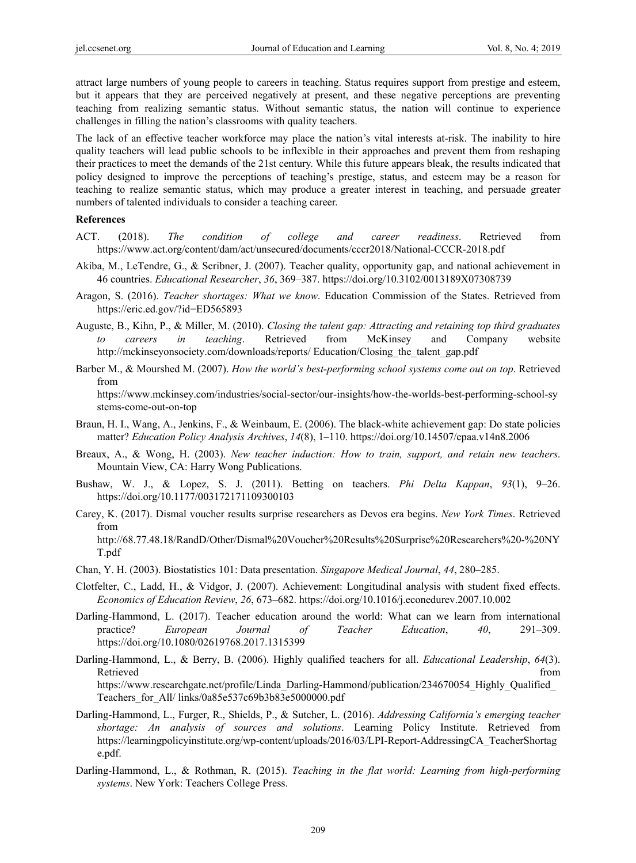attract large numbers of young people to careers in teaching. Status requires support from prestige and esteem, but it appears that they are perceived negatively at present, and these negative perceptions are preventing teaching from realizing semantic status. Without semantic status, the nation will continue to experience challenges in filling the nation's classrooms with quality teachers.

The lack of an effective teacher workforce may place the nation's vital interests at-risk. The inability to hire quality teachers will lead public schools to be inflexible in their approaches and prevent them from reshaping their practices to meet the demands of the 21st century. While this future appears bleak, the results indicated that policy designed to improve the perceptions of teaching's prestige, status, and esteem may be a reason for teaching to realize semantic status, which may produce a greater interest in teaching, and persuade greater numbers of talented individuals to consider a teaching career.

## **References**

- ACT. (2018). *The condition of college and career readiness*. Retrieved from https://www.act.org/content/dam/act/unsecured/documents/cccr2018/National-CCCR-2018.pdf
- Akiba, M., LeTendre, G., & Scribner, J. (2007). Teacher quality, opportunity gap, and national achievement in 46 countries. *Educational Researcher*, *36*, 369–387. https://doi.org/10.3102/0013189X07308739
- Aragon, S. (2016). *Teacher shortages: What we know*. Education Commission of the States. Retrieved from https://eric.ed.gov/?id=ED565893
- Auguste, B., Kihn, P., & Miller, M. (2010). *Closing the talent gap: Attracting and retaining top third graduates to careers in teaching*. Retrieved from McKinsey and Company website http://mckinseyonsociety.com/downloads/reports/ Education/Closing\_the\_talent\_gap.pdf
- Barber M., & Mourshed M. (2007). *How the world's best-performing school systems come out on top*. Retrieved from

https://www.mckinsey.com/industries/social-sector/our-insights/how-the-worlds-best-performing-school-sy stems-come-out-on-top

- Braun, H. I., Wang, A., Jenkins, F., & Weinbaum, E. (2006). The black-white achievement gap: Do state policies matter? *Education Policy Analysis Archives*, *14*(8), 1–110. https://doi.org/10.14507/epaa.v14n8.2006
- Breaux, A., & Wong, H. (2003). *New teacher induction: How to train, support, and retain new teachers*. Mountain View, CA: Harry Wong Publications.
- Bushaw, W. J., & Lopez, S. J. (2011). Betting on teachers. *Phi Delta Kappan*, *93*(1), 9–26. https://doi.org/10.1177/003172171109300103
- Carey, K. (2017). Dismal voucher results surprise researchers as Devos era begins. *New York Times*. Retrieved from http://68.77.48.18/RandD/Other/Dismal%20Voucher%20Results%20Surprise%20Researchers%20-%20NY T.pdf
- Chan, Y. H. (2003). Biostatistics 101: Data presentation. *Singapore Medical Journal*, *44*, 280–285.
- Clotfelter, C., Ladd, H., & Vidgor, J. (2007). Achievement: Longitudinal analysis with student fixed effects. *Economics of Education Review*, *26*, 673–682. https://doi.org/10.1016/j.econedurev.2007.10.002
- Darling-Hammond, L. (2017). Teacher education around the world: What can we learn from international practice? *European Journal of Teacher Education*, *40*, 291–309. https://doi.org/10.1080/02619768.2017.1315399
- Darling-Hammond, L., & Berry, B. (2006). Highly qualified teachers for all. *Educational Leadership*, *64*(3). Retrieved that the contract of the contract of the contract of the contract of the contract of the contract of the contract of the contract of the contract of the contract of the contract of the contract of the contract of https://www.researchgate.net/profile/Linda\_Darling-Hammond/publication/234670054\_Highly\_Qualified\_ Teachers\_for\_All/ links/0a85e537c69b3b83e5000000.pdf
- Darling-Hammond, L., Furger, R., Shields, P., & Sutcher, L. (2016). *Addressing California's emerging teacher shortage: An analysis of sources and solutions*. Learning Policy Institute. Retrieved from https://learningpolicyinstitute.org/wp-content/uploads/2016/03/LPI-Report-AddressingCA\_TeacherShortag e.pdf.
- Darling-Hammond, L., & Rothman, R. (2015). *Teaching in the flat world: Learning from high-performing systems*. New York: Teachers College Press.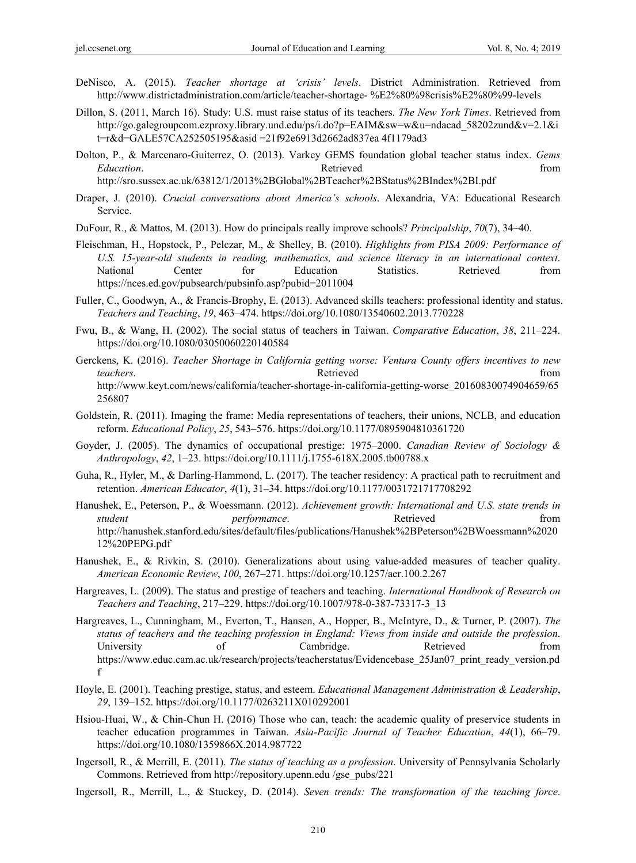- DeNisco, A. (2015). *Teacher shortage at 'crisis' levels*. District Administration. Retrieved from http://www.districtadministration.com/article/teacher-shortage- %E2%80%98crisis%E2%80%99-levels
- Dillon, S. (2011, March 16). Study: U.S. must raise status of its teachers. *The New York Times*. Retrieved from http://go.galegroupcom.ezproxy.library.und.edu/ps/i.do?p=EAIM&sw=w&u=ndacad\_58202zund&v=2.1&i t=r&d=GALE57CA252505195&asid =21f92e6913d2662ad837ea 4f1179ad3
- Dolton, P., & Marcenaro-Guiterrez, O. (2013). Varkey GEMS foundation global teacher status index. *Gems Education*. The contraction of the contraction **Retrieved** from *Retrieved* from *Retrieved Retrieved Retrieved Retrieved Retrieved Retrieved Retrieved Retrieved Retrieved Retrieve*

http://sro.sussex.ac.uk/63812/1/2013%2BGlobal%2BTeacher%2BStatus%2BIndex%2BI.pdf

- Draper, J. (2010). *Crucial conversations about America's schools*. Alexandria, VA: Educational Research Service.
- DuFour, R., & Mattos, M. (2013). How do principals really improve schools? *Principalship*, *70*(7), 34–40.
- Fleischman, H., Hopstock, P., Pelczar, M., & Shelley, B. (2010). *Highlights from PISA 2009: Performance of U.S. 15-year-old students in reading, mathematics, and science literacy in an international context*. National Center for Education Statistics. Retrieved from https://nces.ed.gov/pubsearch/pubsinfo.asp?pubid=2011004
- Fuller, C., Goodwyn, A., & Francis-Brophy, E. (2013). Advanced skills teachers: professional identity and status. *Teachers and Teaching*, *19*, 463–474. https://doi.org/10.1080/13540602.2013.770228
- Fwu, B., & Wang, H. (2002). The social status of teachers in Taiwan. *Comparative Education*, *38*, 211–224. https://doi.org/10.1080/03050060220140584
- Gerckens, K. (2016). *Teacher Shortage in California getting worse: Ventura County offers incentives to new teachers*. **Example 19 has a constant of the Retrieved** from **heating from has a from** http://www.keyt.com/news/california/teacher-shortage-in-california-getting-worse\_20160830074904659/65 256807
- Goldstein, R. (2011). Imaging the frame: Media representations of teachers, their unions, NCLB, and education reform. *Educational Policy*, *25*, 543–576. https://doi.org/10.1177/0895904810361720
- Goyder, J. (2005). The dynamics of occupational prestige: 1975–2000. *Canadian Review of Sociology & Anthropology*, *42*, 1–23. https://doi.org/10.1111/j.1755-618X.2005.tb00788.x
- Guha, R., Hyler, M., & Darling-Hammond, L. (2017). The teacher residency: A practical path to recruitment and retention. *American Educator*, *4*(1), 31–34. https://doi.org/10.1177/0031721717708292
- Hanushek, E., Peterson, P., & Woessmann. (2012). *Achievement growth: International and U.S. state trends in student performance*. Retrieved **here** from http://hanushek.stanford.edu/sites/default/files/publications/Hanushek%2BPeterson%2BWoessmann%2020 12%20PEPG.pdf
- Hanushek, E., & Rivkin, S. (2010). Generalizations about using value-added measures of teacher quality. *American Economic Review*, *100*, 267–271. https://doi.org/10.1257/aer.100.2.267
- Hargreaves, L. (2009). The status and prestige of teachers and teaching. *International Handbook of Research on Teachers and Teaching*, 217–229. https://doi.org/10.1007/978-0-387-73317-3\_13
- Hargreaves, L., Cunningham, M., Everton, T., Hansen, A., Hopper, B., McIntyre, D., & Turner, P. (2007). *The status of teachers and the teaching profession in England: Views from inside and outside the profession*. University of Cambridge. Retrieved from https://www.educ.cam.ac.uk/research/projects/teacherstatus/Evidencebase\_25Jan07\_print\_ready\_version.pd f
- Hoyle, E. (2001). Teaching prestige, status, and esteem. *Educational Management Administration & Leadership*, *29*, 139–152. https://doi.org/10.1177/0263211X010292001
- Hsiou-Huai, W., & Chin-Chun H. (2016) Those who can, teach: the academic quality of preservice students in teacher education programmes in Taiwan. *Asia-Pacific Journal of Teacher Education*, *44*(1), 66–79. https://doi.org/10.1080/1359866X.2014.987722
- Ingersoll, R., & Merrill, E. (2011). *The status of teaching as a profession*. University of Pennsylvania Scholarly Commons. Retrieved from http://repository.upenn.edu /gse\_pubs/221
- Ingersoll, R., Merrill, L., & Stuckey, D. (2014). *Seven trends: The transformation of the teaching force*.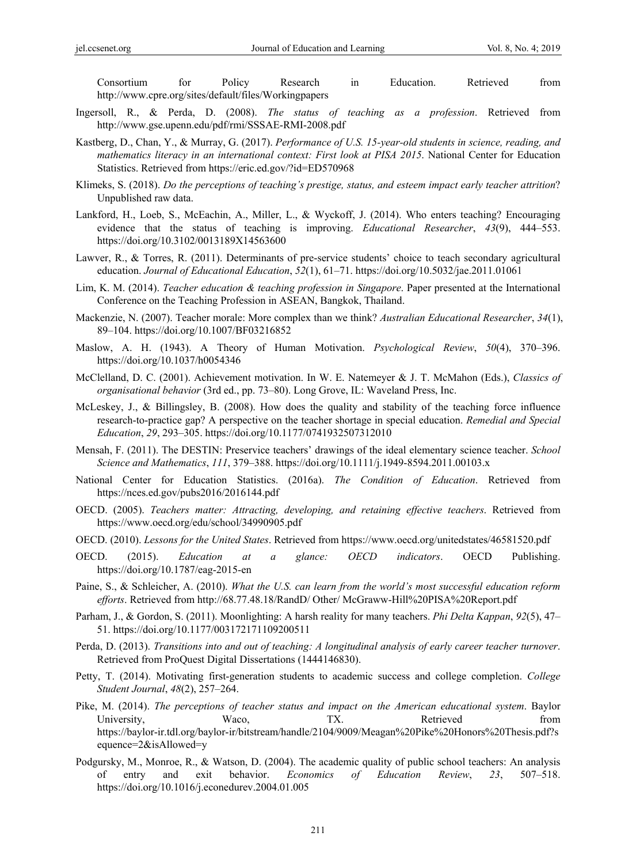Consortium for Policy Research in Education. Retrieved from http://www.cpre.org/sites/default/files/Workingpapers

- Ingersoll, R., & Perda, D. (2008). *The status of teaching as a profession*. Retrieved from http://www.gse.upenn.edu/pdf/rmi/SSSAE-RMI-2008.pdf
- Kastberg, D., Chan, Y., & Murray, G. (2017). *Performance of U.S. 15-year-old students in science, reading, and mathematics literacy in an international context: First look at PISA 2015*. National Center for Education Statistics. Retrieved from https://eric.ed.gov/?id=ED570968
- Klimeks, S. (2018). *Do the perceptions of teaching's prestige, status, and esteem impact early teacher attrition*? Unpublished raw data.
- Lankford, H., Loeb, S., McEachin, A., Miller, L., & Wyckoff, J. (2014). Who enters teaching? Encouraging evidence that the status of teaching is improving. *Educational Researcher*, *43*(9), 444–553. https://doi.org/10.3102/0013189X14563600
- Lawver, R., & Torres, R. (2011). Determinants of pre-service students' choice to teach secondary agricultural education. *Journal of Educational Education*, *52*(1), 61–71. https://doi.org/10.5032/jae.2011.01061
- Lim, K. M. (2014). *Teacher education & teaching profession in Singapore*. Paper presented at the International Conference on the Teaching Profession in ASEAN, Bangkok, Thailand.
- Mackenzie, N. (2007). Teacher morale: More complex than we think? *Australian Educational Researcher*, *34*(1), 89–104. https://doi.org/10.1007/BF03216852
- Maslow, A. H. (1943). A Theory of Human Motivation. *Psychological Review*, *50*(4), 370–396. https://doi.org/10.1037/h0054346
- McClelland, D. C. (2001). Achievement motivation. In W. E. Natemeyer & J. T. McMahon (Eds.), *Classics of organisational behavior* (3rd ed., pp. 73–80). Long Grove, IL: Waveland Press, Inc.
- McLeskey, J., & Billingsley, B. (2008). How does the quality and stability of the teaching force influence research-to-practice gap? A perspective on the teacher shortage in special education. *Remedial and Special Education*, *29*, 293–305. https://doi.org/10.1177/0741932507312010
- Mensah, F. (2011). The DESTIN: Preservice teachers' drawings of the ideal elementary science teacher. *School Science and Mathematics*, *111*, 379–388. https://doi.org/10.1111/j.1949-8594.2011.00103.x
- National Center for Education Statistics. (2016a). *The Condition of Education*. Retrieved from https://nces.ed.gov/pubs2016/2016144.pdf
- OECD. (2005). *Teachers matter: Attracting, developing, and retaining effective teachers*. Retrieved from https://www.oecd.org/edu/school/34990905.pdf
- OECD. (2010). *Lessons for the United States*. Retrieved from https://www.oecd.org/unitedstates/46581520.pdf
- OECD. (2015). *Education at a glance: OECD indicators*. OECD Publishing. https://doi.org/10.1787/eag-2015-en
- Paine, S., & Schleicher, A. (2010). *What the U.S. can learn from the world's most successful education reform efforts*. Retrieved from http://68.77.48.18/RandD/ Other/ McGraww-Hill%20PISA%20Report.pdf
- Parham, J., & Gordon, S. (2011). Moonlighting: A harsh reality for many teachers. *Phi Delta Kappan*, *92*(5), 47– 51. https://doi.org/10.1177/003172171109200511
- Perda, D. (2013). *Transitions into and out of teaching: A longitudinal analysis of early career teacher turnover*. Retrieved from ProQuest Digital Dissertations (1444146830).
- Petty, T. (2014). Motivating first-generation students to academic success and college completion. *College Student Journal*, *48*(2), 257–264.
- Pike, M. (2014). *The perceptions of teacher status and impact on the American educational system*. Baylor University, Waco, TX. Retrieved from https://baylor-ir.tdl.org/baylor-ir/bitstream/handle/2104/9009/Meagan%20Pike%20Honors%20Thesis.pdf?s equence=2&isAllowed=y
- Podgursky, M., Monroe, R., & Watson, D. (2004). The academic quality of public school teachers: An analysis of entry and exit behavior. *Economics of Education Review*, *23*, 507–518. https://doi.org/10.1016/j.econedurev.2004.01.005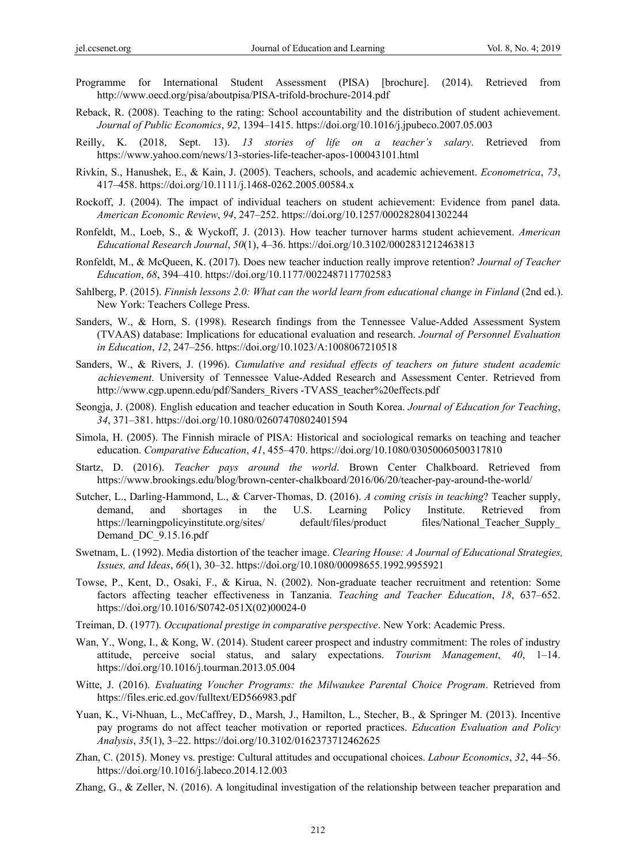- Programme for International Student Assessment (PISA) [brochure]. (2014). Retrieved from http://www.oecd.org/pisa/aboutpisa/PISA-trifold-brochure-2014.pdf
- Reback, R. (2008). Teaching to the rating: School accountability and the distribution of student achievement. *Journal of Public Economics*, *92*, 1394–1415. https://doi.org/10.1016/j.jpubeco.2007.05.003
- Reilly, K. (2018, Sept. 13). *13 stories of life on a teacher's salary*. Retrieved from https://www.yahoo.com/news/13-stories-life-teacher-apos-100043101.html
- Rivkin, S., Hanushek, E., & Kain, J. (2005). Teachers, schools, and academic achievement. *Econometrica*, *73*, 417–458. https://doi.org/10.1111/j.1468-0262.2005.00584.x
- Rockoff, J. (2004). The impact of individual teachers on student achievement: Evidence from panel data. *American Economic Review*, *94*, 247–252. https://doi.org/10.1257/0002828041302244
- Ronfeldt, M., Loeb, S., & Wyckoff, J. (2013). How teacher turnover harms student achievement. *American Educational Research Journal*, *50*(1), 4–36. https://doi.org/10.3102/0002831212463813
- Ronfeldt, M., & McQueen, K. (2017). Does new teacher induction really improve retention? *Journal of Teacher Education*, *68*, 394–410. https://doi.org/10.1177/0022487117702583
- Sahlberg, P. (2015). *Finnish lessons 2.0: What can the world learn from educational change in Finland* (2nd ed.). New York: Teachers College Press.
- Sanders, W., & Horn, S. (1998). Research findings from the Tennessee Value-Added Assessment System (TVAAS) database: Implications for educational evaluation and research. *Journal of Personnel Evaluation in Education*, *12*, 247–256. https://doi.org/10.1023/A:1008067210518
- Sanders, W., & Rivers, J. (1996). *Cumulative and residual effects of teachers on future student academic achievement*. University of Tennessee Value-Added Research and Assessment Center. Retrieved from http://www.cgp.upenn.edu/pdf/Sanders\_Rivers -TVASS\_teacher%20effects.pdf
- Seongja, J. (2008). English education and teacher education in South Korea. *Journal of Education for Teaching*, *34*, 371–381. https://doi.org/10.1080/02607470802401594
- Simola, H. (2005). The Finnish miracle of PISA: Historical and sociological remarks on teaching and teacher education. *Comparative Education*, *41*, 455–470. https://doi.org/10.1080/03050060500317810
- Startz, D. (2016). *Teacher pays around the world*. Brown Center Chalkboard. Retrieved from https://www.brookings.edu/blog/brown-center-chalkboard/2016/06/20/teacher-pay-around-the-world/
- Sutcher, L., Darling-Hammond, L., & Carver-Thomas, D. (2016). *A coming crisis in teaching*? Teacher supply, demand, and shortages in the U.S. Learning Policy Institute. Retrieved from https://learningpolicyinstitute.org/sites/ default/files/product files/National Teacher Supply Demand DC 9.15.16.pdf
- Swetnam, L. (1992). Media distortion of the teacher image. *Clearing House: A Journal of Educational Strategies, Issues, and Ideas*, *66*(1), 30–32. https://doi.org/10.1080/00098655.1992.9955921
- Towse, P., Kent, D., Osaki, F., & Kirua, N. (2002). Non-graduate teacher recruitment and retention: Some factors affecting teacher effectiveness in Tanzania. *Teaching and Teacher Education*, *18*, 637–652. https://doi.org/10.1016/S0742-051X(02)00024-0
- Treiman, D. (1977). *Occupational prestige in comparative perspective*. New York: Academic Press.
- Wan, Y., Wong, I., & Kong, W. (2014). Student career prospect and industry commitment: The roles of industry attitude, perceive social status, and salary expectations. *Tourism Management*, *40*, 1–14. https://doi.org/10.1016/j.tourman.2013.05.004
- Witte, J. (2016). *Evaluating Voucher Programs: the Milwaukee Parental Choice Program*. Retrieved from https://files.eric.ed.gov/fulltext/ED566983.pdf
- Yuan, K., Vi-Nhuan, L., McCaffrey, D., Marsh, J., Hamilton, L., Stecher, B., & Springer M. (2013). Incentive pay programs do not affect teacher motivation or reported practices. *Education Evaluation and Policy Analysis*, *35*(1), 3–22. https://doi.org/10.3102/0162373712462625
- Zhan, C. (2015). Money vs. prestige: Cultural attitudes and occupational choices. *Labour Economics*, *32*, 44–56. https://doi.org/10.1016/j.labeco.2014.12.003
- Zhang, G., & Zeller, N. (2016). A longitudinal investigation of the relationship between teacher preparation and